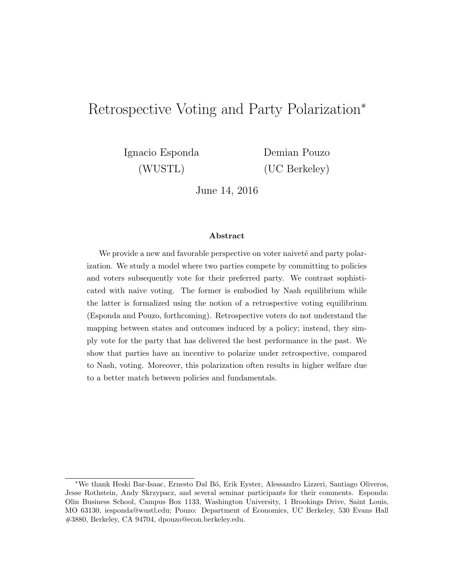# Retrospective Voting and Party Polarization<sup>∗</sup>

Ignacio Esponda Demian Pouzo

(WUSTL) (UC Berkeley)

June 14, 2016

#### Abstract

We provide a new and favorable perspective on voter naiveté and party polarization. We study a model where two parties compete by committing to policies and voters subsequently vote for their preferred party. We contrast sophisticated with naive voting. The former is embodied by Nash equilibrium while the latter is formalized using the notion of a retrospective voting equilibrium (Esponda and Pouzo, forthcoming). Retrospective voters do not understand the mapping between states and outcomes induced by a policy; instead, they simply vote for the party that has delivered the best performance in the past. We show that parties have an incentive to polarize under retrospective, compared to Nash, voting. Moreover, this polarization often results in higher welfare due to a better match between policies and fundamentals.

<sup>∗</sup>We thank Heski Bar-Isaac, Ernesto Dal B´o, Erik Eyster, Alessandro Lizzeri, Santiago Oliveros, Jesse Rothstein, Andy Skrzypacz, and several seminar participants for their comments. Esponda: Olin Business School, Campus Box 1133, Washington University, 1 Brookings Drive, Saint Louis, MO 63130, iesponda@wustl.edu; Pouzo: Department of Economics, UC Berkeley, 530 Evans Hall #3880, Berkeley, CA 94704, dpouzo@econ.berkeley.edu.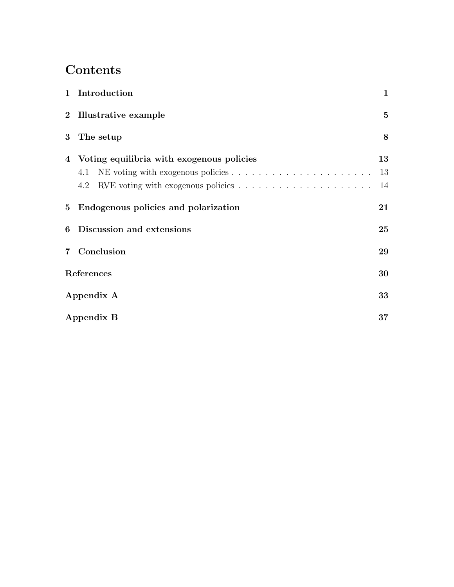# Contents

| 1 Introduction                                     | $\mathbf{1}$   |  |
|----------------------------------------------------|----------------|--|
| 2 Illustrative example                             | $\mathbf{5}$   |  |
| 3 The setup                                        | $8\phantom{1}$ |  |
| 4 Voting equilibria with exogenous policies<br>4.1 | 13<br>13<br>14 |  |
| 5 Endogenous policies and polarization             | 21             |  |
| <b>6</b> Discussion and extensions                 | 25             |  |
| 7 Conclusion                                       | 29             |  |
| References                                         |                |  |
| Appendix A                                         |                |  |
| Appendix B                                         |                |  |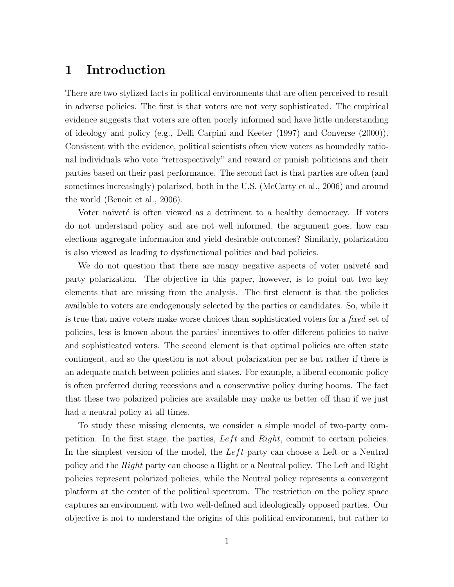# 1 Introduction

There are two stylized facts in political environments that are often perceived to result in adverse policies. The first is that voters are not very sophisticated. The empirical evidence suggests that voters are often poorly informed and have little understanding of ideology and policy (e.g., Delli Carpini and Keeter (1997) and Converse (2000)). Consistent with the evidence, political scientists often view voters as boundedly rational individuals who vote "retrospectively" and reward or punish politicians and their parties based on their past performance. The second fact is that parties are often (and sometimes increasingly) polarized, both in the U.S. (McCarty et al., 2006) and around the world (Benoit et al., 2006).

Voter naiveté is often viewed as a detriment to a healthy democracy. If voters do not understand policy and are not well informed, the argument goes, how can elections aggregate information and yield desirable outcomes? Similarly, polarization is also viewed as leading to dysfunctional politics and bad policies.

We do not question that there are many negative aspects of voter naiveté and party polarization. The objective in this paper, however, is to point out two key elements that are missing from the analysis. The first element is that the policies available to voters are endogenously selected by the parties or candidates. So, while it is true that naive voters make worse choices than sophisticated voters for a *fixed* set of policies, less is known about the parties' incentives to offer different policies to naive and sophisticated voters. The second element is that optimal policies are often state contingent, and so the question is not about polarization per se but rather if there is an adequate match between policies and states. For example, a liberal economic policy is often preferred during recessions and a conservative policy during booms. The fact that these two polarized policies are available may make us better off than if we just had a neutral policy at all times.

To study these missing elements, we consider a simple model of two-party competition. In the first stage, the parties,  $Left$  and  $Right$ , commit to certain policies. In the simplest version of the model, the  $Left$  party can choose a Left or a Neutral policy and the Right party can choose a Right or a Neutral policy. The Left and Right policies represent polarized policies, while the Neutral policy represents a convergent platform at the center of the political spectrum. The restriction on the policy space captures an environment with two well-defined and ideologically opposed parties. Our objective is not to understand the origins of this political environment, but rather to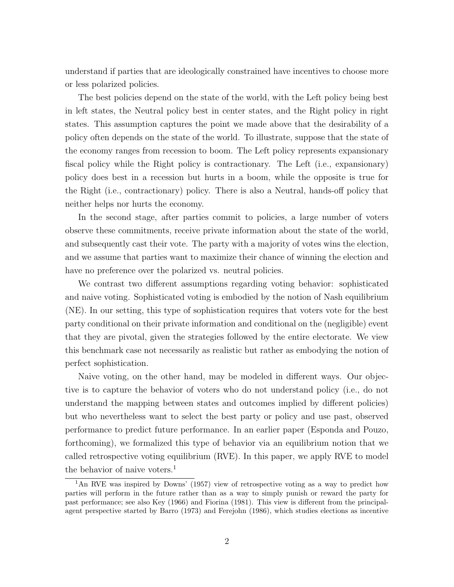understand if parties that are ideologically constrained have incentives to choose more or less polarized policies.

The best policies depend on the state of the world, with the Left policy being best in left states, the Neutral policy best in center states, and the Right policy in right states. This assumption captures the point we made above that the desirability of a policy often depends on the state of the world. To illustrate, suppose that the state of the economy ranges from recession to boom. The Left policy represents expansionary fiscal policy while the Right policy is contractionary. The Left (i.e., expansionary) policy does best in a recession but hurts in a boom, while the opposite is true for the Right (i.e., contractionary) policy. There is also a Neutral, hands-off policy that neither helps nor hurts the economy.

In the second stage, after parties commit to policies, a large number of voters observe these commitments, receive private information about the state of the world, and subsequently cast their vote. The party with a majority of votes wins the election, and we assume that parties want to maximize their chance of winning the election and have no preference over the polarized vs. neutral policies.

We contrast two different assumptions regarding voting behavior: sophisticated and naive voting. Sophisticated voting is embodied by the notion of Nash equilibrium (NE). In our setting, this type of sophistication requires that voters vote for the best party conditional on their private information and conditional on the (negligible) event that they are pivotal, given the strategies followed by the entire electorate. We view this benchmark case not necessarily as realistic but rather as embodying the notion of perfect sophistication.

Naive voting, on the other hand, may be modeled in different ways. Our objective is to capture the behavior of voters who do not understand policy (i.e., do not understand the mapping between states and outcomes implied by different policies) but who nevertheless want to select the best party or policy and use past, observed performance to predict future performance. In an earlier paper (Esponda and Pouzo, forthcoming), we formalized this type of behavior via an equilibrium notion that we called retrospective voting equilibrium (RVE). In this paper, we apply RVE to model the behavior of naive voters.<sup>1</sup>

<sup>1</sup>An RVE was inspired by Downs' (1957) view of retrospective voting as a way to predict how parties will perform in the future rather than as a way to simply punish or reward the party for past performance; see also Key (1966) and Fiorina (1981). This view is different from the principalagent perspective started by Barro (1973) and Ferejohn (1986), which studies elections as incentive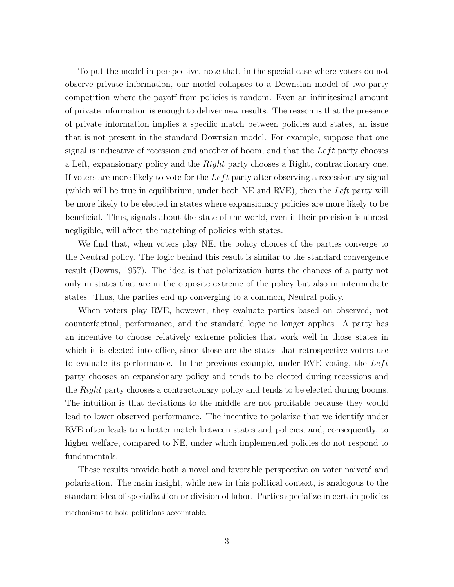To put the model in perspective, note that, in the special case where voters do not observe private information, our model collapses to a Downsian model of two-party competition where the payoff from policies is random. Even an infinitesimal amount of private information is enough to deliver new results. The reason is that the presence of private information implies a specific match between policies and states, an issue that is not present in the standard Downsian model. For example, suppose that one signal is indicative of recession and another of boom, and that the  $Left$  party chooses a Left, expansionary policy and the Right party chooses a Right, contractionary one. If voters are more likely to vote for the  $Left$  party after observing a recessionary signal (which will be true in equilibrium, under both  $NE$  and  $RVE$ ), then the Left party will be more likely to be elected in states where expansionary policies are more likely to be beneficial. Thus, signals about the state of the world, even if their precision is almost negligible, will affect the matching of policies with states.

We find that, when voters play NE, the policy choices of the parties converge to the Neutral policy. The logic behind this result is similar to the standard convergence result (Downs, 1957). The idea is that polarization hurts the chances of a party not only in states that are in the opposite extreme of the policy but also in intermediate states. Thus, the parties end up converging to a common, Neutral policy.

When voters play RVE, however, they evaluate parties based on observed, not counterfactual, performance, and the standard logic no longer applies. A party has an incentive to choose relatively extreme policies that work well in those states in which it is elected into office, since those are the states that retrospective voters use to evaluate its performance. In the previous example, under RVE voting, the  $Left$ party chooses an expansionary policy and tends to be elected during recessions and the Right party chooses a contractionary policy and tends to be elected during booms. The intuition is that deviations to the middle are not profitable because they would lead to lower observed performance. The incentive to polarize that we identify under RVE often leads to a better match between states and policies, and, consequently, to higher welfare, compared to NE, under which implemented policies do not respond to fundamentals.

These results provide both a novel and favorable perspective on voter naiveté and polarization. The main insight, while new in this political context, is analogous to the standard idea of specialization or division of labor. Parties specialize in certain policies

mechanisms to hold politicians accountable.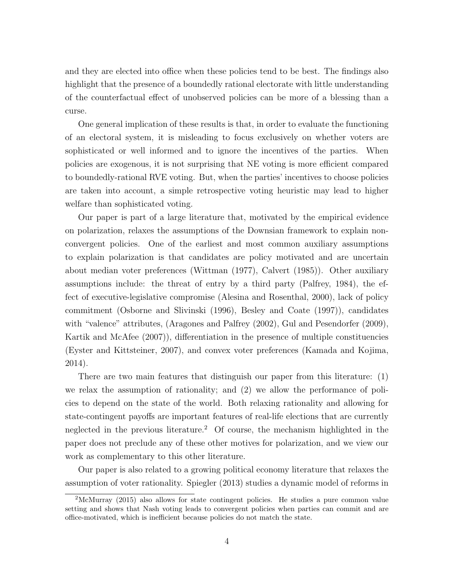and they are elected into office when these policies tend to be best. The findings also highlight that the presence of a boundedly rational electorate with little understanding of the counterfactual effect of unobserved policies can be more of a blessing than a curse.

One general implication of these results is that, in order to evaluate the functioning of an electoral system, it is misleading to focus exclusively on whether voters are sophisticated or well informed and to ignore the incentives of the parties. When policies are exogenous, it is not surprising that NE voting is more efficient compared to boundedly-rational RVE voting. But, when the parties' incentives to choose policies are taken into account, a simple retrospective voting heuristic may lead to higher welfare than sophisticated voting.

Our paper is part of a large literature that, motivated by the empirical evidence on polarization, relaxes the assumptions of the Downsian framework to explain nonconvergent policies. One of the earliest and most common auxiliary assumptions to explain polarization is that candidates are policy motivated and are uncertain about median voter preferences (Wittman (1977), Calvert (1985)). Other auxiliary assumptions include: the threat of entry by a third party (Palfrey, 1984), the effect of executive-legislative compromise (Alesina and Rosenthal, 2000), lack of policy commitment (Osborne and Slivinski (1996), Besley and Coate (1997)), candidates with "valence" attributes, (Aragones and Palfrey (2002), Gul and Pesendorfer (2009), Kartik and McAfee (2007)), differentiation in the presence of multiple constituencies (Eyster and Kittsteiner, 2007), and convex voter preferences (Kamada and Kojima, 2014).

There are two main features that distinguish our paper from this literature: (1) we relax the assumption of rationality; and (2) we allow the performance of policies to depend on the state of the world. Both relaxing rationality and allowing for state-contingent payoffs are important features of real-life elections that are currently neglected in the previous literature.<sup>2</sup> Of course, the mechanism highlighted in the paper does not preclude any of these other motives for polarization, and we view our work as complementary to this other literature.

Our paper is also related to a growing political economy literature that relaxes the assumption of voter rationality. Spiegler (2013) studies a dynamic model of reforms in

<sup>2</sup>McMurray (2015) also allows for state contingent policies. He studies a pure common value setting and shows that Nash voting leads to convergent policies when parties can commit and are office-motivated, which is inefficient because policies do not match the state.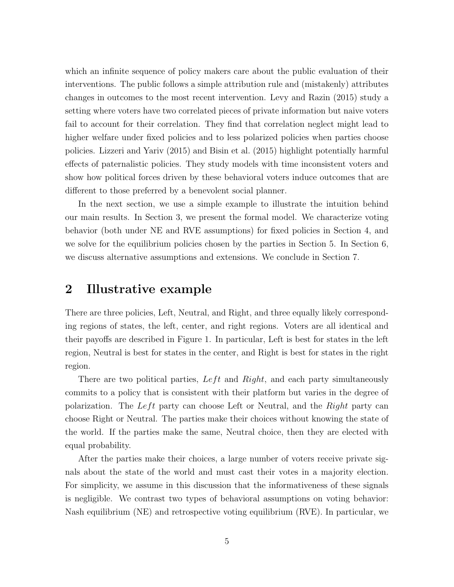which an infinite sequence of policy makers care about the public evaluation of their interventions. The public follows a simple attribution rule and (mistakenly) attributes changes in outcomes to the most recent intervention. Levy and Razin (2015) study a setting where voters have two correlated pieces of private information but naive voters fail to account for their correlation. They find that correlation neglect might lead to higher welfare under fixed policies and to less polarized policies when parties choose policies. Lizzeri and Yariv (2015) and Bisin et al. (2015) highlight potentially harmful effects of paternalistic policies. They study models with time inconsistent voters and show how political forces driven by these behavioral voters induce outcomes that are different to those preferred by a benevolent social planner.

In the next section, we use a simple example to illustrate the intuition behind our main results. In Section 3, we present the formal model. We characterize voting behavior (both under NE and RVE assumptions) for fixed policies in Section 4, and we solve for the equilibrium policies chosen by the parties in Section 5. In Section 6, we discuss alternative assumptions and extensions. We conclude in Section 7.

### 2 Illustrative example

There are three policies, Left, Neutral, and Right, and three equally likely corresponding regions of states, the left, center, and right regions. Voters are all identical and their payoffs are described in Figure 1. In particular, Left is best for states in the left region, Neutral is best for states in the center, and Right is best for states in the right region.

There are two political parties,  $Left$  and  $Right$ , and each party simultaneously commits to a policy that is consistent with their platform but varies in the degree of polarization. The Left party can choose Left or Neutral, and the  $Right$  party can choose Right or Neutral. The parties make their choices without knowing the state of the world. If the parties make the same, Neutral choice, then they are elected with equal probability.

After the parties make their choices, a large number of voters receive private signals about the state of the world and must cast their votes in a majority election. For simplicity, we assume in this discussion that the informativeness of these signals is negligible. We contrast two types of behavioral assumptions on voting behavior: Nash equilibrium (NE) and retrospective voting equilibrium (RVE). In particular, we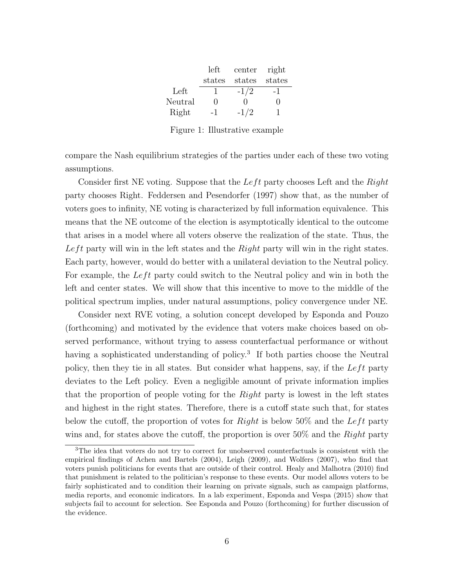|         | left         | center | right  |
|---------|--------------|--------|--------|
|         | states       | states | states |
| Left    | ı            | $-1/2$ | -1     |
| Neutral | $\mathbf{I}$ | . .    | $\Box$ |
| Right   | -1           | $-1/2$ |        |

Figure 1: Illustrative example

compare the Nash equilibrium strategies of the parties under each of these two voting assumptions.

Consider first NE voting. Suppose that the Left party chooses Left and the  $Right$ party chooses Right. Feddersen and Pesendorfer (1997) show that, as the number of voters goes to infinity, NE voting is characterized by full information equivalence. This means that the NE outcome of the election is asymptotically identical to the outcome that arises in a model where all voters observe the realization of the state. Thus, the Left party will win in the left states and the  $Right$  party will win in the right states. Each party, however, would do better with a unilateral deviation to the Neutral policy. For example, the Left party could switch to the Neutral policy and win in both the left and center states. We will show that this incentive to move to the middle of the political spectrum implies, under natural assumptions, policy convergence under NE.

Consider next RVE voting, a solution concept developed by Esponda and Pouzo (forthcoming) and motivated by the evidence that voters make choices based on observed performance, without trying to assess counterfactual performance or without having a sophisticated understanding of policy.<sup>3</sup> If both parties choose the Neutral policy, then they tie in all states. But consider what happens, say, if the  $Left$  party deviates to the Left policy. Even a negligible amount of private information implies that the proportion of people voting for the *Right* party is lowest in the left states and highest in the right states. Therefore, there is a cutoff state such that, for states below the cutoff, the proportion of votes for  $Right$  is below 50% and the Left party wins and, for states above the cutoff, the proportion is over 50% and the Right party

<sup>&</sup>lt;sup>3</sup>The idea that voters do not try to correct for unobserved counterfactuals is consistent with the empirical findings of Achen and Bartels (2004), Leigh (2009), and Wolfers (2007), who find that voters punish politicians for events that are outside of their control. Healy and Malhotra (2010) find that punishment is related to the politician's response to these events. Our model allows voters to be fairly sophisticated and to condition their learning on private signals, such as campaign platforms, media reports, and economic indicators. In a lab experiment, Esponda and Vespa (2015) show that subjects fail to account for selection. See Esponda and Pouzo (forthcoming) for further discussion of the evidence.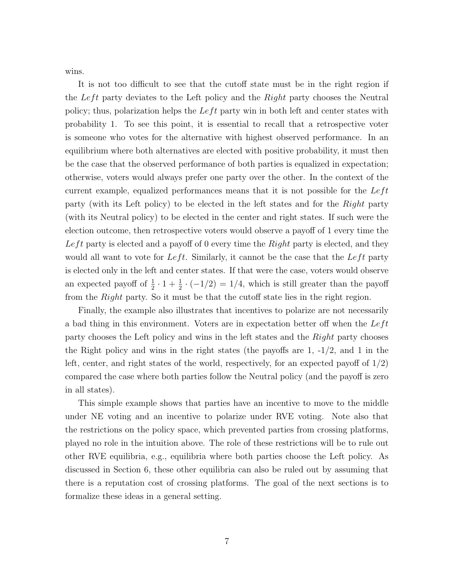wins.

It is not too difficult to see that the cutoff state must be in the right region if the Left party deviates to the Left policy and the  $Right$  party chooses the Neutral policy; thus, polarization helps the  $Left$  party win in both left and center states with probability 1. To see this point, it is essential to recall that a retrospective voter is someone who votes for the alternative with highest observed performance. In an equilibrium where both alternatives are elected with positive probability, it must then be the case that the observed performance of both parties is equalized in expectation; otherwise, voters would always prefer one party over the other. In the context of the current example, equalized performances means that it is not possible for the  $Left$ party (with its Left policy) to be elected in the left states and for the Right party (with its Neutral policy) to be elected in the center and right states. If such were the election outcome, then retrospective voters would observe a payoff of 1 every time the Left party is elected and a payoff of 0 every time the Right party is elected, and they would all want to vote for Left. Similarly, it cannot be the case that the Left party is elected only in the left and center states. If that were the case, voters would observe an expected payoff of  $\frac{1}{2} \cdot 1 + \frac{1}{2} \cdot (-1/2) = 1/4$ , which is still greater than the payoff from the Right party. So it must be that the cutoff state lies in the right region.

Finally, the example also illustrates that incentives to polarize are not necessarily a bad thing in this environment. Voters are in expectation better off when the  $Left$ party chooses the Left policy and wins in the left states and the *Right* party chooses the Right policy and wins in the right states (the payoffs are 1, -1/2, and 1 in the left, center, and right states of the world, respectively, for an expected payoff of 1/2) compared the case where both parties follow the Neutral policy (and the payoff is zero in all states).

This simple example shows that parties have an incentive to move to the middle under NE voting and an incentive to polarize under RVE voting. Note also that the restrictions on the policy space, which prevented parties from crossing platforms, played no role in the intuition above. The role of these restrictions will be to rule out other RVE equilibria, e.g., equilibria where both parties choose the Left policy. As discussed in Section 6, these other equilibria can also be ruled out by assuming that there is a reputation cost of crossing platforms. The goal of the next sections is to formalize these ideas in a general setting.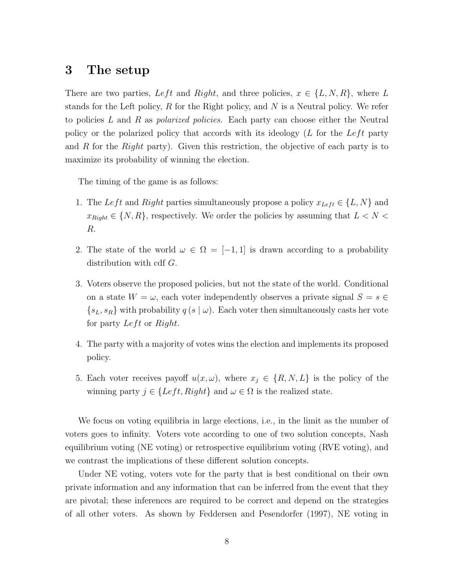# 3 The setup

There are two parties, Left and Right, and three policies,  $x \in \{L, N, R\}$ , where L stands for the Left policy,  $R$  for the Right policy, and  $N$  is a Neutral policy. We refer to policies  $L$  and  $R$  as *polarized policies*. Each party can choose either the Neutral policy or the polarized policy that accords with its ideology  $(L$  for the Left party and R for the Right party). Given this restriction, the objective of each party is to maximize its probability of winning the election.

The timing of the game is as follows:

- 1. The Left and Right parties simultaneously propose a policy  $x_{Left} \in \{L, N\}$  and  $x_{Right} \in \{N, R\}$ , respectively. We order the policies by assuming that  $L < N <$ R.
- 2. The state of the world  $\omega \in \Omega = [-1, 1]$  is drawn according to a probability distribution with cdf G.
- 3. Voters observe the proposed policies, but not the state of the world. Conditional on a state  $W = \omega$ , each voter independently observes a private signal  $S = s \in$  ${s<sub>L</sub>, s<sub>R</sub>}$  with probability  $q(s | \omega)$ . Each voter then simultaneously casts her vote for party  $Left$  or  $Right$ .
- 4. The party with a majority of votes wins the election and implements its proposed policy.
- 5. Each voter receives payoff  $u(x, \omega)$ , where  $x_j \in \{R, N, L\}$  is the policy of the winning party  $j \in \{Left, Right\}$  and  $\omega \in \Omega$  is the realized state.

We focus on voting equilibria in large elections, i.e., in the limit as the number of voters goes to infinity. Voters vote according to one of two solution concepts, Nash equilibrium voting (NE voting) or retrospective equilibrium voting (RVE voting), and we contrast the implications of these different solution concepts.

Under NE voting, voters vote for the party that is best conditional on their own private information and any information that can be inferred from the event that they are pivotal; these inferences are required to be correct and depend on the strategies of all other voters. As shown by Feddersen and Pesendorfer (1997), NE voting in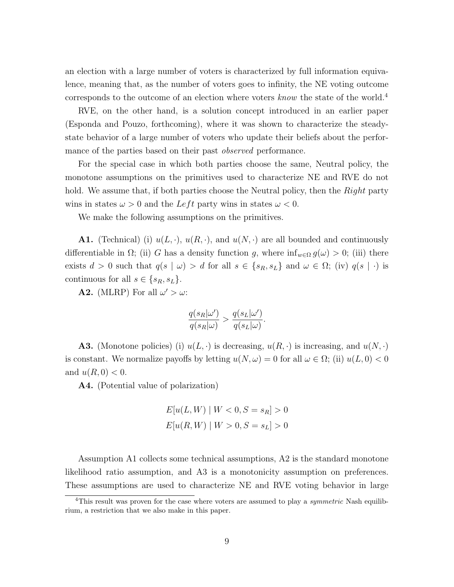an election with a large number of voters is characterized by full information equivalence, meaning that, as the number of voters goes to infinity, the NE voting outcome corresponds to the outcome of an election where voters know the state of the world.<sup>4</sup>

RVE, on the other hand, is a solution concept introduced in an earlier paper (Esponda and Pouzo, forthcoming), where it was shown to characterize the steadystate behavior of a large number of voters who update their beliefs about the performance of the parties based on their past *observed* performance.

For the special case in which both parties choose the same, Neutral policy, the monotone assumptions on the primitives used to characterize NE and RVE do not hold. We assume that, if both parties choose the Neutral policy, then the Right party wins in states  $\omega > 0$  and the Left party wins in states  $\omega < 0$ .

We make the following assumptions on the primitives.

**A1.** (Technical) (i)  $u(L, \cdot)$ ,  $u(R, \cdot)$ , and  $u(N, \cdot)$  are all bounded and continuously differentiable in  $\Omega$ ; (ii) G has a density function g, where  $\inf_{w \in \Omega} g(\omega) > 0$ ; (iii) there exists  $d > 0$  such that  $q(s | \omega) > d$  for all  $s \in \{s_R, s_L\}$  and  $\omega \in \Omega$ ; (iv)  $q(s | \cdot)$  is continuous for all  $s \in \{s_R, s_L\}.$ 

**A2.** (MLRP) For all  $\omega' > \omega$ :

$$
\frac{q(s_R|\omega')}{q(s_R|\omega)} > \frac{q(s_L|\omega')}{q(s_L|\omega)}.
$$

**A3.** (Monotone policies) (i)  $u(L, \cdot)$  is decreasing,  $u(R, \cdot)$  is increasing, and  $u(N, \cdot)$ is constant. We normalize payoffs by letting  $u(N, \omega) = 0$  for all  $\omega \in \Omega$ ; (ii)  $u(L, 0) < 0$ and  $u(R, 0) < 0$ .

A4. (Potential value of polarization)

$$
E[u(L, W) | W < 0, S = s_R] > 0
$$
\n
$$
E[u(R, W) | W > 0, S = s_L] > 0
$$

Assumption A1 collects some technical assumptions, A2 is the standard monotone likelihood ratio assumption, and A3 is a monotonicity assumption on preferences. These assumptions are used to characterize NE and RVE voting behavior in large

<sup>&</sup>lt;sup>4</sup>This result was proven for the case where voters are assumed to play a *symmetric* Nash equilibrium, a restriction that we also make in this paper.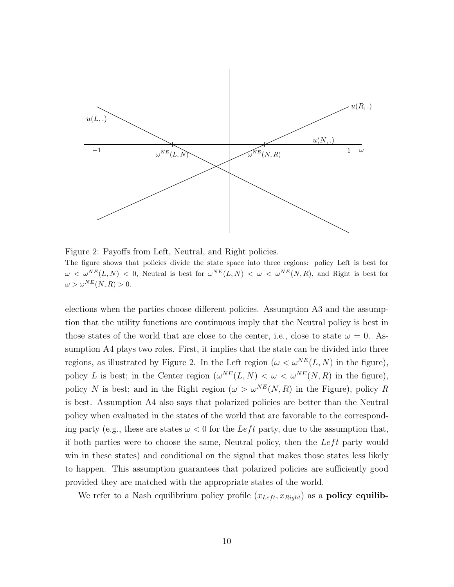

Figure 2: Payoffs from Left, Neutral, and Right policies. The figure shows that policies divide the state space into three regions: policy Left is best for  $\omega < \omega^{NE}(L, N) < 0$ , Neutral is best for  $\omega^{NE}(L, N) < \omega < \omega^{NE}(N, R)$ , and Right is best for  $\omega > \omega^{NE}(N,R) > 0.$ 

elections when the parties choose different policies. Assumption A3 and the assumption that the utility functions are continuous imply that the Neutral policy is best in those states of the world that are close to the center, i.e., close to state  $\omega = 0$ . Assumption A4 plays two roles. First, it implies that the state can be divided into three regions, as illustrated by Figure 2. In the Left region ( $\omega < \omega^{NE}(L, N)$  in the figure), policy L is best; in the Center region  $(\omega^{NE}(L, N) < \omega < \omega^{NE}(N, R)$  in the figure), policy N is best; and in the Right region ( $\omega > \omega^{NE}(N, R)$  in the Figure), policy R is best. Assumption A4 also says that polarized policies are better than the Neutral policy when evaluated in the states of the world that are favorable to the corresponding party (e.g., these are states  $\omega < 0$  for the Left party, due to the assumption that, if both parties were to choose the same, Neutral policy, then the  $Left$  party would win in these states) and conditional on the signal that makes those states less likely to happen. This assumption guarantees that polarized policies are sufficiently good provided they are matched with the appropriate states of the world.

We refer to a Nash equilibrium policy profile  $(x_{Left}, x_{Right})$  as a **policy equilib-**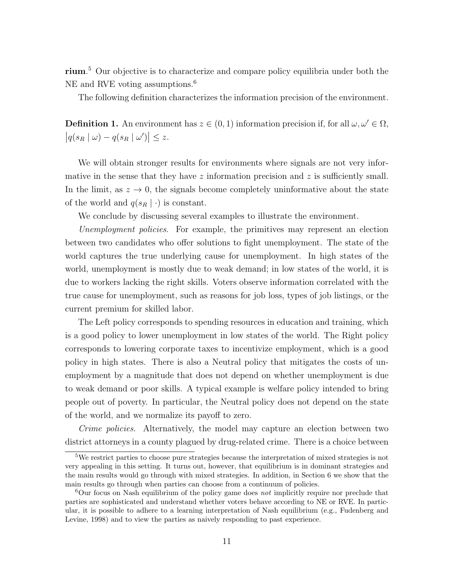rium. <sup>5</sup> Our objective is to characterize and compare policy equilibria under both the NE and RVE voting assumptions.<sup>6</sup>

The following definition characterizes the information precision of the environment.

**Definition 1.** An environment has  $z \in (0, 1)$  information precision if, for all  $\omega, \omega' \in \Omega$ ,  $|q(s_R | \omega) - q(s_R | \omega')| \leq z.$ 

We will obtain stronger results for environments where signals are not very informative in the sense that they have  $z$  information precision and  $z$  is sufficiently small. In the limit, as  $z \to 0$ , the signals become completely uninformative about the state of the world and  $q(s_R | \cdot)$  is constant.

We conclude by discussing several examples to illustrate the environment.

Unemployment policies. For example, the primitives may represent an election between two candidates who offer solutions to fight unemployment. The state of the world captures the true underlying cause for unemployment. In high states of the world, unemployment is mostly due to weak demand; in low states of the world, it is due to workers lacking the right skills. Voters observe information correlated with the true cause for unemployment, such as reasons for job loss, types of job listings, or the current premium for skilled labor.

The Left policy corresponds to spending resources in education and training, which is a good policy to lower unemployment in low states of the world. The Right policy corresponds to lowering corporate taxes to incentivize employment, which is a good policy in high states. There is also a Neutral policy that mitigates the costs of unemployment by a magnitude that does not depend on whether unemployment is due to weak demand or poor skills. A typical example is welfare policy intended to bring people out of poverty. In particular, the Neutral policy does not depend on the state of the world, and we normalize its payoff to zero.

Crime policies. Alternatively, the model may capture an election between two district attorneys in a county plagued by drug-related crime. There is a choice between

<sup>5</sup>We restrict parties to choose pure strategies because the interpretation of mixed strategies is not very appealing in this setting. It turns out, however, that equilibrium is in dominant strategies and the main results would go through with mixed strategies. In addition, in Section 6 we show that the main results go through when parties can choose from a continuum of policies.

 ${}^{6}$ Our focus on Nash equilibrium of the policy game does not implicitly require nor preclude that parties are sophisticated and understand whether voters behave according to NE or RVE. In particular, it is possible to adhere to a learning interpretation of Nash equilibrium (e.g., Fudenberg and Levine, 1998) and to view the parties as naively responding to past experience.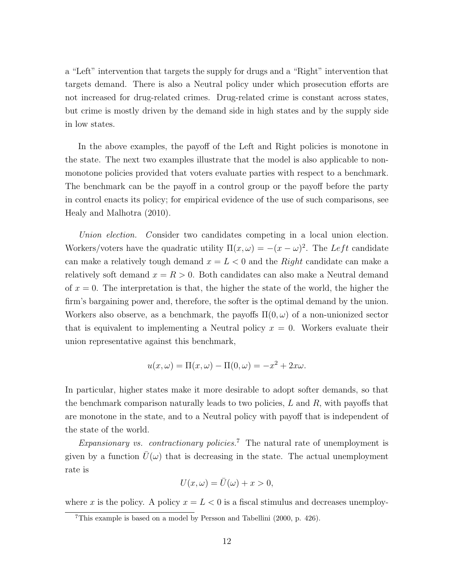a "Left" intervention that targets the supply for drugs and a "Right" intervention that targets demand. There is also a Neutral policy under which prosecution efforts are not increased for drug-related crimes. Drug-related crime is constant across states, but crime is mostly driven by the demand side in high states and by the supply side in low states.

In the above examples, the payoff of the Left and Right policies is monotone in the state. The next two examples illustrate that the model is also applicable to nonmonotone policies provided that voters evaluate parties with respect to a benchmark. The benchmark can be the payoff in a control group or the payoff before the party in control enacts its policy; for empirical evidence of the use of such comparisons, see Healy and Malhotra (2010).

Union election. Consider two candidates competing in a local union election. Workers/voters have the quadratic utility  $\Pi(x,\omega) = -(x-\omega)^2$ . The Left candidate can make a relatively tough demand  $x = L < 0$  and the Right candidate can make a relatively soft demand  $x = R > 0$ . Both candidates can also make a Neutral demand of  $x = 0$ . The interpretation is that, the higher the state of the world, the higher the firm's bargaining power and, therefore, the softer is the optimal demand by the union. Workers also observe, as a benchmark, the payoffs  $\Pi(0,\omega)$  of a non-unionized sector that is equivalent to implementing a Neutral policy  $x = 0$ . Workers evaluate their union representative against this benchmark,

$$
u(x,\omega) = \Pi(x,\omega) - \Pi(0,\omega) = -x^2 + 2x\omega.
$$

In particular, higher states make it more desirable to adopt softer demands, so that the benchmark comparison naturally leads to two policies,  $L$  and  $R$ , with payoffs that are monotone in the state, and to a Neutral policy with payoff that is independent of the state of the world.

Expansionary vs. contractionary policies.<sup>7</sup> The natural rate of unemployment is given by a function  $\bar{U}(\omega)$  that is decreasing in the state. The actual unemployment rate is

$$
U(x,\omega) = \bar{U}(\omega) + x > 0,
$$

where x is the policy. A policy  $x = L < 0$  is a fiscal stimulus and decreases unemploy-

<sup>7</sup>This example is based on a model by Persson and Tabellini (2000, p. 426).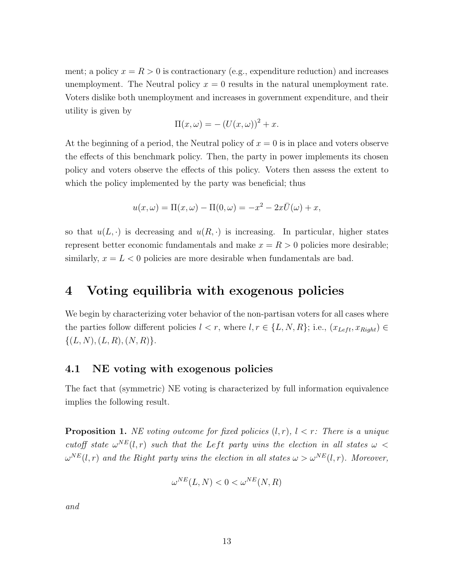ment; a policy  $x = R > 0$  is contractionary (e.g., expenditure reduction) and increases unemployment. The Neutral policy  $x = 0$  results in the natural unemployment rate. Voters dislike both unemployment and increases in government expenditure, and their utility is given by

$$
\Pi(x,\omega) = -(U(x,\omega))^2 + x.
$$

At the beginning of a period, the Neutral policy of  $x = 0$  is in place and voters observe the effects of this benchmark policy. Then, the party in power implements its chosen policy and voters observe the effects of this policy. Voters then assess the extent to which the policy implemented by the party was beneficial; thus

$$
u(x,\omega) = \Pi(x,\omega) - \Pi(0,\omega) = -x^2 - 2x\overline{U}(\omega) + x,
$$

so that  $u(L, \cdot)$  is decreasing and  $u(R, \cdot)$  is increasing. In particular, higher states represent better economic fundamentals and make  $x = R > 0$  policies more desirable; similarly,  $x = L < 0$  policies are more desirable when fundamentals are bad.

# 4 Voting equilibria with exogenous policies

We begin by characterizing voter behavior of the non-partisan voters for all cases where the parties follow different policies  $l < r$ , where  $l, r \in \{L, N, R\}$ ; i.e.,  $(x_{Left}, x_{Right}) \in$  $\{(L, N), (L, R), (N, R)\}.$ 

#### 4.1 NE voting with exogenous policies

The fact that (symmetric) NE voting is characterized by full information equivalence implies the following result.

**Proposition 1.** NE voting outcome for fixed policies  $(l, r)$ ,  $l \leq r$ : There is a unique cutoff state  $\omega^{NE}(l,r)$  such that the Left party wins the election in all states  $\omega$  <  $\omega^{NE}(l,r)$  and the Right party wins the election in all states  $\omega > \omega^{NE}(l,r)$ . Moreover,

$$
\omega^{NE}(L, N) < 0 < \omega^{NE}(N, R)
$$

and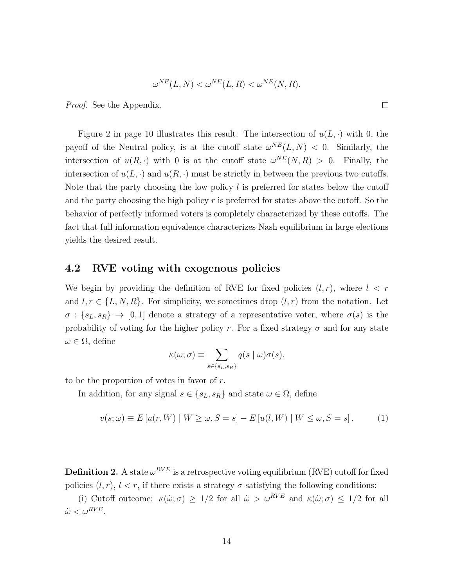$$
\omega^{NE}(L, N) < \omega^{NE}(L, R) < \omega^{NE}(N, R).
$$

Proof. See the Appendix.

Figure 2 in page 10 illustrates this result. The intersection of  $u(L, \cdot)$  with 0, the payoff of the Neutral policy, is at the cutoff state  $\omega^{NE}(L, N) < 0$ . Similarly, the intersection of  $u(R, \cdot)$  with 0 is at the cutoff state  $\omega^{NE}(N, R) > 0$ . Finally, the intersection of  $u(L, \cdot)$  and  $u(R, \cdot)$  must be strictly in between the previous two cutoffs. Note that the party choosing the low policy  $l$  is preferred for states below the cutoff and the party choosing the high policy  $r$  is preferred for states above the cutoff. So the behavior of perfectly informed voters is completely characterized by these cutoffs. The fact that full information equivalence characterizes Nash equilibrium in large elections yields the desired result.

#### 4.2 RVE voting with exogenous policies

We begin by providing the definition of RVE for fixed policies  $(l, r)$ , where  $l < r$ and  $l, r \in \{L, N, R\}$ . For simplicity, we sometimes drop  $(l, r)$  from the notation. Let  $\sigma : \{s_L, s_R\} \to [0, 1]$  denote a strategy of a representative voter, where  $\sigma(s)$  is the probability of voting for the higher policy r. For a fixed strategy  $\sigma$  and for any state  $\omega \in \Omega$ , define

$$
\kappa(\omega;\sigma) \equiv \sum_{s \in \{s_L,s_R\}} q(s \mid \omega) \sigma(s).
$$

to be the proportion of votes in favor of  $r$ .

In addition, for any signal  $s \in \{s_L, s_R\}$  and state  $\omega \in \Omega$ , define

$$
v(s; \omega) \equiv E[u(r, W) \mid W \ge \omega, S = s] - E[u(l, W) \mid W \le \omega, S = s].
$$
 (1)

**Definition 2.** A state  $\omega^{RVE}$  is a retrospective voting equilibrium (RVE) cutoff for fixed policies  $(l, r)$ ,  $l < r$ , if there exists a strategy  $\sigma$  satisfying the following conditions:

(i) Cutoff outcome:  $\kappa(\tilde{\omega};\sigma) \geq 1/2$  for all  $\tilde{\omega} > \omega^{RVE}$  and  $\kappa(\tilde{\omega};\sigma) \leq 1/2$  for all  $\tilde{\omega} < \omega^{RVE}$ .

 $\Box$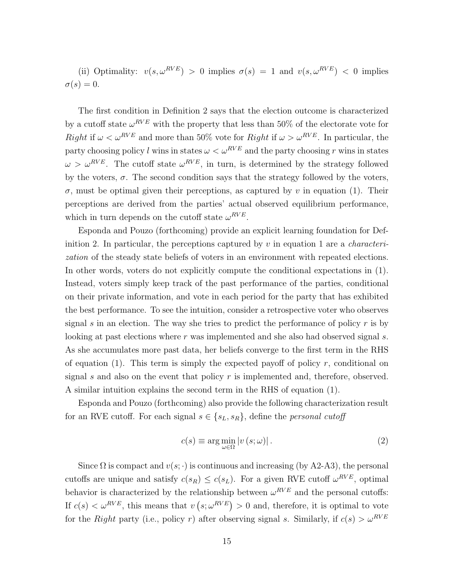(ii) Optimality:  $v(s, \omega^{RVE}) > 0$  implies  $\sigma(s) = 1$  and  $v(s, \omega^{RVE}) < 0$  implies  $\sigma(s)=0.$ 

The first condition in Definition 2 says that the election outcome is characterized by a cutoff state  $\omega^{RVE}$  with the property that less than 50% of the electorate vote for Right if  $\omega < \omega^{RVE}$  and more than 50% vote for Right if  $\omega > \omega^{RVE}$ . In particular, the party choosing policy l wins in states  $\omega < \omega^{RVE}$  and the party choosing r wins in states  $\omega > \omega^{RVE}$ . The cutoff state  $\omega^{RVE}$ , in turn, is determined by the strategy followed by the voters,  $\sigma$ . The second condition says that the strategy followed by the voters,  $\sigma$ , must be optimal given their perceptions, as captured by v in equation (1). Their perceptions are derived from the parties' actual observed equilibrium performance, which in turn depends on the cutoff state  $\omega^{RVE}$ .

Esponda and Pouzo (forthcoming) provide an explicit learning foundation for Definition 2. In particular, the perceptions captured by  $v$  in equation 1 are a *characteri*zation of the steady state beliefs of voters in an environment with repeated elections. In other words, voters do not explicitly compute the conditional expectations in (1). Instead, voters simply keep track of the past performance of the parties, conditional on their private information, and vote in each period for the party that has exhibited the best performance. To see the intuition, consider a retrospective voter who observes signal s in an election. The way she tries to predict the performance of policy  $r$  is by looking at past elections where r was implemented and she also had observed signal s. As she accumulates more past data, her beliefs converge to the first term in the RHS of equation (1). This term is simply the expected payoff of policy  $r$ , conditional on signal s and also on the event that policy  $r$  is implemented and, therefore, observed. A similar intuition explains the second term in the RHS of equation (1).

Esponda and Pouzo (forthcoming) also provide the following characterization result for an RVE cutoff. For each signal  $s \in \{s_L, s_R\}$ , define the *personal cutoff* 

$$
c(s) \equiv \arg\min_{\omega \in \Omega} |v(s; \omega)|.
$$
 (2)

Since  $\Omega$  is compact and  $v(s; \cdot)$  is continuous and increasing (by A2-A3), the personal cutoffs are unique and satisfy  $c(s_R) \leq c(s_L)$ . For a given RVE cutoff  $\omega^{RVE}$ , optimal behavior is characterized by the relationship between  $\omega^{RVE}$  and the personal cutoffs: If  $c(s) < \omega^{RVE}$ , this means that  $v(s; \omega^{RVE}) > 0$  and, therefore, it is optimal to vote for the Right party (i.e., policy r) after observing signal s. Similarly, if  $c(s) > \omega^{RVE}$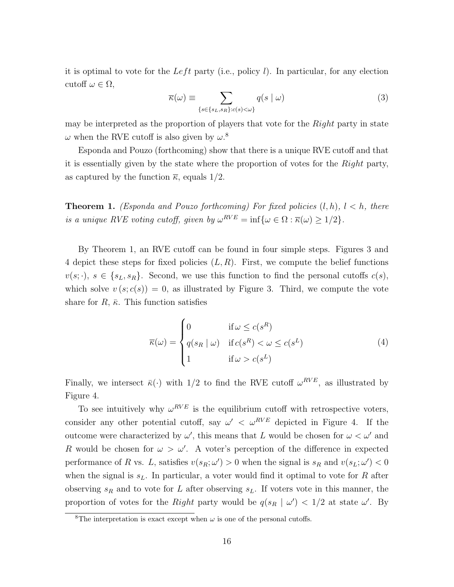it is optimal to vote for the Left party (i.e., policy l). In particular, for any election cutoff  $\omega \in \Omega$ ,

$$
\overline{\kappa}(\omega) \equiv \sum_{\{s \in \{s_L, s_R\}: c(s) < \omega\}} q(s \mid \omega) \tag{3}
$$

may be interpreted as the proportion of players that vote for the Right party in state  $\omega$  when the RVE cutoff is also given by  $\omega$ .<sup>8</sup>

Esponda and Pouzo (forthcoming) show that there is a unique RVE cutoff and that it is essentially given by the state where the proportion of votes for the Right party, as captured by the function  $\bar{\kappa}$ , equals 1/2.

**Theorem 1.** (Esponda and Pouzo forthcoming) For fixed policies  $(l, h)$ ,  $l < h$ , there is a unique RVE voting cutoff, given by  $\omega^{RVE} = \inf \{ \omega \in \Omega : \overline{\kappa}(\omega) \geq 1/2 \}.$ 

By Theorem 1, an RVE cutoff can be found in four simple steps. Figures 3 and 4 depict these steps for fixed policies  $(L, R)$ . First, we compute the belief functions  $v(s; \cdot), s \in \{s_L, s_R\}.$  Second, we use this function to find the personal cutoffs  $c(s)$ , which solve  $v(s; c(s)) = 0$ , as illustrated by Figure 3. Third, we compute the vote share for  $R$ ,  $\bar{\kappa}$ . This function satisfies

$$
\overline{\kappa}(\omega) = \begin{cases}\n0 & \text{if } \omega \le c(s^R) \\
q(s_R \mid \omega) & \text{if } c(s^R) < \omega \le c(s^L) \\
1 & \text{if } \omega > c(s^L)\n\end{cases}
$$
\n(4)

Finally, we intersect  $\bar{\kappa}(\cdot)$  with 1/2 to find the RVE cutoff  $\omega^{RVE}$ , as illustrated by Figure 4.

To see intuitively why  $\omega^{RVE}$  is the equilibrium cutoff with retrospective voters, consider any other potential cutoff, say  $\omega' < \omega^{RVE}$  depicted in Figure 4. If the outcome were characterized by  $\omega'$ , this means that L would be chosen for  $\omega < \omega'$  and R would be chosen for  $\omega > \omega'$ . A voter's perception of the difference in expected performance of R vs. L, satisfies  $v(s_R; \omega') > 0$  when the signal is  $s_R$  and  $v(s_L; \omega') < 0$ when the signal is  $s<sub>L</sub>$ . In particular, a voter would find it optimal to vote for R after observing  $s_R$  and to vote for L after observing  $s_L$ . If voters vote in this manner, the proportion of votes for the Right party would be  $q(s_R | \omega') < 1/2$  at state  $\omega'$ . By

<sup>&</sup>lt;sup>8</sup>The interpretation is exact except when  $\omega$  is one of the personal cutoffs.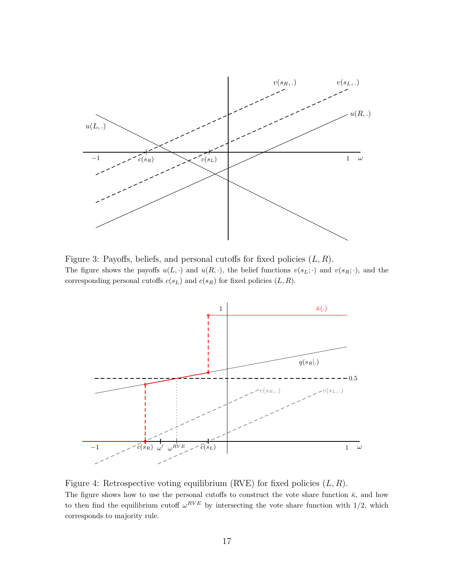

Figure 3: Payoffs, beliefs, and personal cutoffs for fixed policies  $(L, R)$ . The figure shows the payoffs  $u(L, \cdot)$  and  $u(R, \cdot)$ , the belief functions  $v(s_L; \cdot)$  and  $v(s_R; \cdot)$ , and the corresponding personal cutoffs  $c(s_L)$  and  $c(s_R)$  for fixed policies  $(L, R)$ .



Figure 4: Retrospective voting equilibrium (RVE) for fixed policies  $(L, R)$ . The figure shows how to use the personal cutoffs to construct the vote share function  $\bar{\kappa}$ , and how to then find the equilibrium cutoff  $\omega^{RVE}$  by intersecting the vote share function with  $1/2$ , which corresponds to majority rule.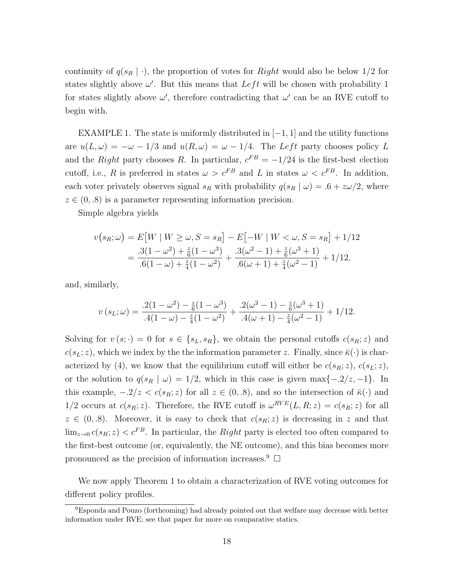continuity of  $q(s_R | \cdot)$ , the proportion of votes for *Right* would also be below 1/2 for states slightly above  $\omega'$ . But this means that  $Left$  will be chosen with probability 1 for states slightly above  $\omega'$ , therefore contradicting that  $\omega'$  can be an RVE cutoff to begin with.

EXAMPLE 1. The state is uniformly distributed in  $[-1, 1]$  and the utility functions are  $u(L, \omega) = -\omega - 1/3$  and  $u(R, \omega) = \omega - 1/4$ . The Left party chooses policy L and the Right party chooses R. In particular,  $c^{FB} = -1/24$  is the first-best election cutoff, i.e., R is preferred in states  $\omega > c^{FB}$  and L in states  $\omega < c^{FB}$ . In addition, each voter privately observes signal  $s_R$  with probability  $q(s_R | \omega) = .6 + z\omega/2$ , where  $z \in (0, 0.8)$  is a parameter representing information precision.

Simple algebra yields

$$
v(s_R; \omega) = E[W \mid W \ge \omega, S = s_R] - E[-W \mid W < \omega, S = s_R] + 1/12
$$
  
= 
$$
\frac{.3(1 - \omega^2) + \frac{z}{6}(1 - \omega^3)}{.6(1 - \omega) + \frac{z}{4}(1 - \omega^2)} + \frac{.3(\omega^2 - 1) + \frac{z}{6}(\omega^3 + 1)}{.6(\omega + 1) + \frac{z}{4}(\omega^2 - 1)} + 1/12,
$$

and, similarly,

$$
v(s_L; \omega) = \frac{.2(1 - \omega^2) - \frac{z}{6}(1 - \omega^3)}{.4(1 - \omega) - \frac{z}{4}(1 - \omega^2)} + \frac{.2(\omega^2 - 1) - \frac{z}{6}(\omega^3 + 1)}{.4(\omega + 1) - \frac{z}{4}(\omega^2 - 1)} + \frac{1}{12}.
$$

Solving for  $v(s; \cdot) = 0$  for  $s \in \{s_L, s_R\}$ , we obtain the personal cutoffs  $c(s_R; z)$  and  $c(s_L; z)$ , which we index by the the information parameter z. Finally, since  $\bar{\kappa}(\cdot)$  is characterized by (4), we know that the equilibrium cutoff will either be  $c(s_R; z)$ ,  $c(s_L; z)$ , or the solution to  $q(s_R | \omega) = 1/2$ , which in this case is given max $\{-2/z, -1\}$ . In this example,  $-2/z < c(s_R; z)$  for all  $z \in (0, 0.8)$ , and so the intersection of  $\bar{\kappa}(\cdot)$  and 1/2 occurs at  $c(s_R; z)$ . Therefore, the RVE cutoff is  $\omega^{RVE}(L, R; z) = c(s_R; z)$  for all  $z \in (0, 0.8)$ . Moreover, it is easy to check that  $c(s_R; z)$  is decreasing in z and that  $\lim_{z\to 0} c(s_R; z) < c^{FB}$ . In particular, the Right party is elected too often compared to the first-best outcome (or, equivalently, the NE outcome), and this bias becomes more pronounced as the precision of information increases.<sup>9</sup>  $\Box$ 

We now apply Theorem 1 to obtain a characterization of RVE voting outcomes for different policy profiles.

<sup>9</sup>Esponda and Pouzo (forthcoming) had already pointed out that welfare may decrease with better information under RVE; see that paper for more on comparative statics.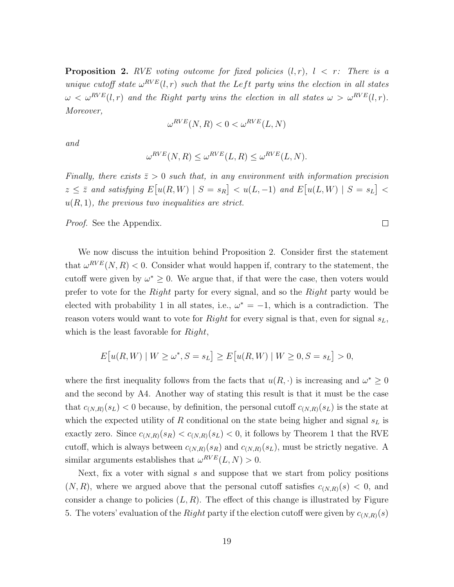**Proposition 2.** RVE voting outcome for fixed policies  $(l, r)$ ,  $l \leq r$ : There is a unique cutoff state  $\omega^{RVE}(l,r)$  such that the Left party wins the election in all states  $\omega < \omega^{RVE}(l,r)$  and the Right party wins the election in all states  $\omega > \omega^{RVE}(l,r)$ . Moreover,

$$
\omega^{RVE}(N,R) < 0 < \omega^{RVE}(L,N)
$$

and

$$
\omega^{RVE}(N,R) \le \omega^{RVE}(L,R) \le \omega^{RVE}(L,N).
$$

Finally, there exists  $\bar{z} > 0$  such that, in any environment with information precision  $z \leq \overline{z}$  and satisfying  $E[u(R, W) | S = s_R] < u(L, -1)$  and  $E[u(L, W) | S = s_L] <$  $u(R, 1)$ , the previous two inequalities are strict.

Proof. See the Appendix.

We now discuss the intuition behind Proposition 2. Consider first the statement that  $\omega^{RVE}(N,R) < 0$ . Consider what would happen if, contrary to the statement, the cutoff were given by  $\omega^* \geq 0$ . We argue that, if that were the case, then voters would prefer to vote for the Right party for every signal, and so the Right party would be elected with probability 1 in all states, i.e.,  $\omega^* = -1$ , which is a contradiction. The reason voters would want to vote for *Right* for every signal is that, even for signal  $s_L$ , which is the least favorable for  $Right$ ,

$$
E[u(R, W) | W \ge \omega^*, S = s_L] \ge E[u(R, W) | W \ge 0, S = s_L] > 0,
$$

where the first inequality follows from the facts that  $u(R, \cdot)$  is increasing and  $\omega^* \geq 0$ and the second by A4. Another way of stating this result is that it must be the case that  $c_{(N,R)}(s_L)$  < 0 because, by definition, the personal cutoff  $c_{(N,R)}(s_L)$  is the state at which the expected utility of R conditional on the state being higher and signal  $s<sub>L</sub>$  is exactly zero. Since  $c_{(N,R)}(s_R) < c_{(N,R)}(s_L) < 0$ , it follows by Theorem 1 that the RVE cutoff, which is always between  $c_{(N,R)}(s_R)$  and  $c_{(N,R)}(s_L)$ , must be strictly negative. A similar arguments establishes that  $\omega^{RVE}(L, N) > 0$ .

Next, fix a voter with signal s and suppose that we start from policy positions  $(N, R)$ , where we argued above that the personal cutoff satisfies  $c_{(N,R)}(s) < 0$ , and consider a change to policies  $(L, R)$ . The effect of this change is illustrated by Figure 5. The voters' evaluation of the Right party if the election cutoff were given by  $c_{(N,R)}(s)$ 

 $\Box$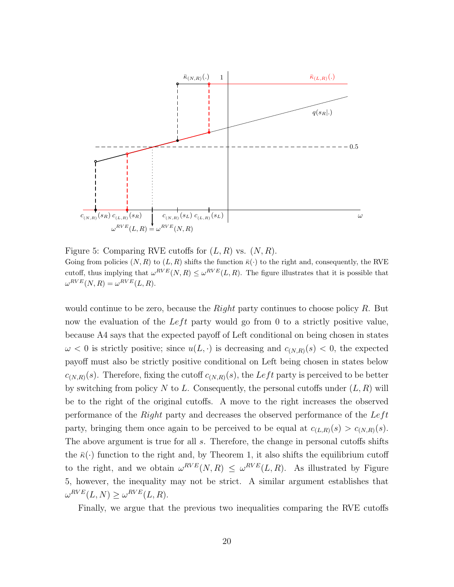

Figure 5: Comparing RVE cutoffs for  $(L, R)$  vs.  $(N, R)$ . Going from policies  $(N, R)$  to  $(L, R)$  shifts the function  $\bar{\kappa}(\cdot)$  to the right and, consequently, the RVE cutoff, thus implying that  $\omega^{RVE}(N,R) \leq \omega^{RVE}(L,R)$ . The figure illustrates that it is possible that  $\omega^{RVE}(N,R) = \omega^{RVE}(L,R).$ 

would continue to be zero, because the *Right* party continues to choose policy  $R$ . But now the evaluation of the Left party would go from 0 to a strictly positive value, because A4 says that the expected payoff of Left conditional on being chosen in states  $\omega < 0$  is strictly positive; since  $u(L, \cdot)$  is decreasing and  $c_{(N,R)}(s) < 0$ , the expected payoff must also be strictly positive conditional on Left being chosen in states below  $c_{(N,R)}(s)$ . Therefore, fixing the cutoff  $c_{(N,R)}(s)$ , the Left party is perceived to be better by switching from policy N to L. Consequently, the personal cutoffs under  $(L, R)$  will be to the right of the original cutoffs. A move to the right increases the observed performance of the  $Right$  party and decreases the observed performance of the  $Left$ party, bringing them once again to be perceived to be equal at  $c_{(L,R)}(s) > c_{(N,R)}(s)$ . The above argument is true for all s. Therefore, the change in personal cutoffs shifts the  $\bar{\kappa}(\cdot)$  function to the right and, by Theorem 1, it also shifts the equilibrium cutoff to the right, and we obtain  $\omega^{RVE}(N,R) \leq \omega^{RVE}(L,R)$ . As illustrated by Figure 5, however, the inequality may not be strict. A similar argument establishes that  $\omega^{RVE}(L, N) \geq \omega^{RVE}(L, R).$ 

Finally, we argue that the previous two inequalities comparing the RVE cutoffs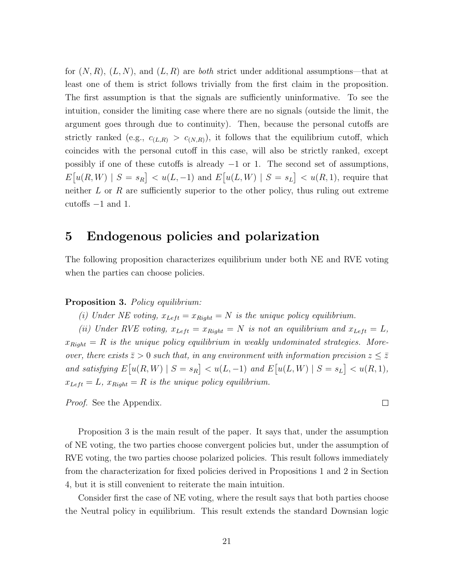for  $(N, R)$ ,  $(L, N)$ , and  $(L, R)$  are both strict under additional assumptions—that at least one of them is strict follows trivially from the first claim in the proposition. The first assumption is that the signals are sufficiently uninformative. To see the intuition, consider the limiting case where there are no signals (outside the limit, the argument goes through due to continuity). Then, because the personal cutoffs are strictly ranked (e.g.,  $c_{(L,R)} > c_{(N,R)}$ ), it follows that the equilibrium cutoff, which coincides with the personal cutoff in this case, will also be strictly ranked, except possibly if one of these cutoffs is already  $-1$  or 1. The second set of assumptions,  $E[u(R, W) | S = s_R] < u(L, -1)$  and  $E[u(L, W) | S = s_L] < u(R, 1)$ , require that neither  $L$  or  $R$  are sufficiently superior to the other policy, thus ruling out extreme cutoffs −1 and 1.

### 5 Endogenous policies and polarization

The following proposition characterizes equilibrium under both NE and RVE voting when the parties can choose policies.

#### Proposition 3. Policy equilibrium:

(i) Under NE voting,  $x_{Left} = x_{Right} = N$  is the unique policy equilibrium.

(ii) Under RVE voting,  $x_{Left} = x_{Right} = N$  is not an equilibrium and  $x_{Left} = L$ ,  $x_{Right} = R$  is the unique policy equilibrium in weakly undominated strategies. Moreover, there exists  $\bar{z} > 0$  such that, in any environment with information precision  $z \leq \bar{z}$ and satisfying  $E[u(R, W) | S = s_R] < u(L, -1)$  and  $E[u(L, W) | S = s_L] < u(R, 1)$ ,  $x_{Left} = L$ ,  $x_{Right} = R$  is the unique policy equilibrium.

Proof. See the Appendix.

Proposition 3 is the main result of the paper. It says that, under the assumption of NE voting, the two parties choose convergent policies but, under the assumption of RVE voting, the two parties choose polarized policies. This result follows immediately from the characterization for fixed policies derived in Propositions 1 and 2 in Section 4, but it is still convenient to reiterate the main intuition.

Consider first the case of NE voting, where the result says that both parties choose the Neutral policy in equilibrium. This result extends the standard Downsian logic

 $\Box$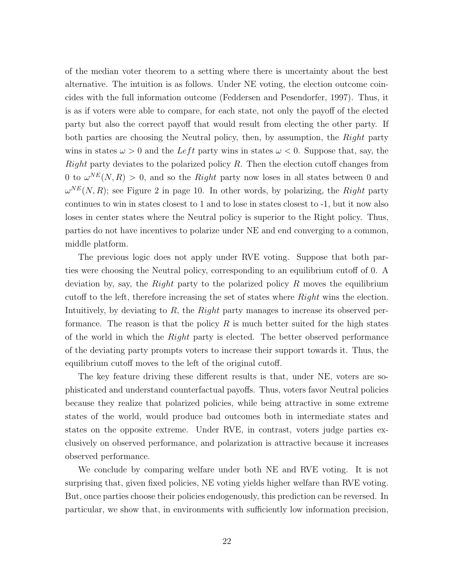of the median voter theorem to a setting where there is uncertainty about the best alternative. The intuition is as follows. Under NE voting, the election outcome coincides with the full information outcome (Feddersen and Pesendorfer, 1997). Thus, it is as if voters were able to compare, for each state, not only the payoff of the elected party but also the correct payoff that would result from electing the other party. If both parties are choosing the Neutral policy, then, by assumption, the Right party wins in states  $\omega > 0$  and the Left party wins in states  $\omega < 0$ . Suppose that, say, the Right party deviates to the polarized policy  $R$ . Then the election cutoff changes from 0 to  $\omega^{NE}(N, R) > 0$ , and so the *Right* party now loses in all states between 0 and  $\omega^{NE}(N, R)$ ; see Figure 2 in page 10. In other words, by polarizing, the Right party continues to win in states closest to 1 and to lose in states closest to -1, but it now also loses in center states where the Neutral policy is superior to the Right policy. Thus, parties do not have incentives to polarize under NE and end converging to a common, middle platform.

The previous logic does not apply under RVE voting. Suppose that both parties were choosing the Neutral policy, corresponding to an equilibrium cutoff of 0. A deviation by, say, the Right party to the polarized policy R moves the equilibrium cutoff to the left, therefore increasing the set of states where Right wins the election. Intuitively, by deviating to R, the Right party manages to increase its observed performance. The reason is that the policy  $R$  is much better suited for the high states of the world in which the *Right* party is elected. The better observed performance of the deviating party prompts voters to increase their support towards it. Thus, the equilibrium cutoff moves to the left of the original cutoff.

The key feature driving these different results is that, under NE, voters are sophisticated and understand counterfactual payoffs. Thus, voters favor Neutral policies because they realize that polarized policies, while being attractive in some extreme states of the world, would produce bad outcomes both in intermediate states and states on the opposite extreme. Under RVE, in contrast, voters judge parties exclusively on observed performance, and polarization is attractive because it increases observed performance.

We conclude by comparing welfare under both NE and RVE voting. It is not surprising that, given fixed policies, NE voting yields higher welfare than RVE voting. But, once parties choose their policies endogenously, this prediction can be reversed. In particular, we show that, in environments with sufficiently low information precision,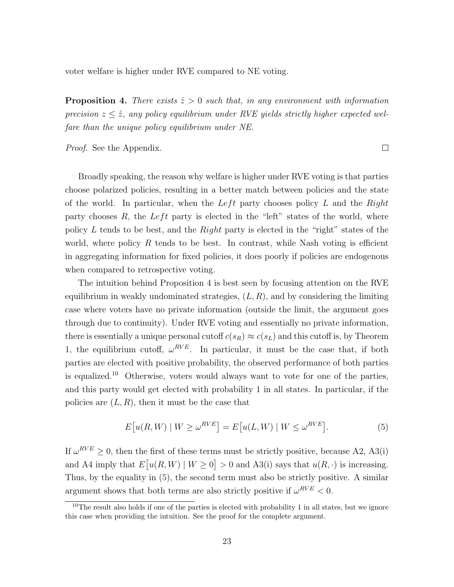voter welfare is higher under RVE compared to NE voting.

**Proposition 4.** There exists  $\hat{z} > 0$  such that, in any environment with information precision  $z \leq \hat{z}$ , any policy equilibrium under RVE yields strictly higher expected welfare than the unique policy equilibrium under NE.

Proof. See the Appendix.

 $\Box$ 

Broadly speaking, the reason why welfare is higher under RVE voting is that parties choose polarized policies, resulting in a better match between policies and the state of the world. In particular, when the Left party chooses policy  $L$  and the Right party chooses  $R$ , the Left party is elected in the "left" states of the world, where policy L tends to be best, and the Right party is elected in the "right" states of the world, where policy R tends to be best. In contrast, while Nash voting is efficient in aggregating information for fixed policies, it does poorly if policies are endogenous when compared to retrospective voting.

The intuition behind Proposition 4 is best seen by focusing attention on the RVE equilibrium in weakly undominated strategies,  $(L, R)$ , and by considering the limiting case where voters have no private information (outside the limit, the argument goes through due to continuity). Under RVE voting and essentially no private information, there is essentially a unique personal cutoff  $c(s_R) \approx c(s_L)$  and this cutoff is, by Theorem 1, the equilibrium cutoff,  $\omega^{RVE}$ . In particular, it must be the case that, if both parties are elected with positive probability, the observed performance of both parties is equalized.<sup>10</sup> Otherwise, voters would always want to vote for one of the parties, and this party would get elected with probability 1 in all states. In particular, if the policies are  $(L, R)$ , then it must be the case that

$$
E[u(R,W) \mid W \ge \omega^{RVE}] = E[u(L,W) \mid W \le \omega^{RVE}].
$$
\n(5)

If  $\omega^{RVE} \geq 0$ , then the first of these terms must be strictly positive, because A2, A3(i) and A4 imply that  $E[u(R, W) | W \ge 0] > 0$  and A3(i) says that  $u(R, \cdot)$  is increasing. Thus, by the equality in (5), the second term must also be strictly positive. A similar argument shows that both terms are also strictly positive if  $\omega^{RVE} < 0$ .

<sup>&</sup>lt;sup>10</sup>The result also holds if one of the parties is elected with probability 1 in all states, but we ignore this case when providing the intuition. See the proof for the complete argument.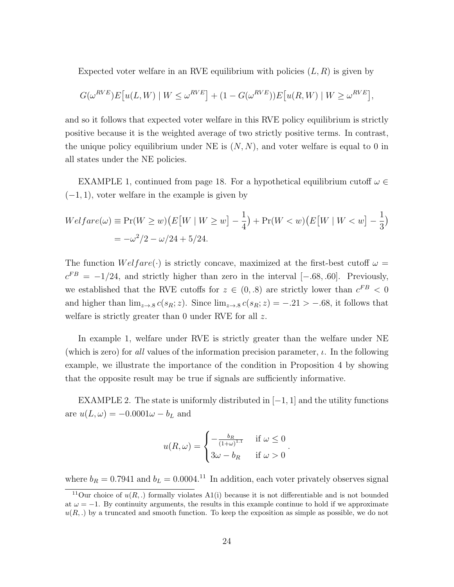Expected voter welfare in an RVE equilibrium with policies  $(L, R)$  is given by

$$
G(\omega^{RVE})E[u(L,W) \mid W \leq \omega^{RVE}] + (1 - G(\omega^{RVE}))E[u(R,W) \mid W \geq \omega^{RVE}],
$$

and so it follows that expected voter welfare in this RVE policy equilibrium is strictly positive because it is the weighted average of two strictly positive terms. In contrast, the unique policy equilibrium under NE is  $(N, N)$ , and voter welfare is equal to 0 in all states under the NE policies.

EXAMPLE 1, continued from page 18. For a hypothetical equilibrium cutoff  $\omega \in$  $(-1, 1)$ , voter welfare in the example is given by

$$
Welfare(\omega) \equiv \Pr(W \ge w) \left( E[W \mid W \ge w] - \frac{1}{4} \right) + \Pr(W < w) \left( E[W \mid W < w] - \frac{1}{3} \right)
$$
\n
$$
= -\omega^2 / 2 - \omega / 24 + 5 / 24.
$$

The function  $Welfare(\cdot)$  is strictly concave, maximized at the first-best cutoff  $\omega =$  $c^{FB} = -1/24$ , and strictly higher than zero in the interval [-.68, .60]. Previously, we established that the RVE cutoffs for  $z \in (0, .8)$  are strictly lower than  $c^{FB} < 0$ and higher than  $\lim_{z\to 8} c(s_R; z)$ . Since  $\lim_{z\to 8} c(s_R; z) = -.21 > -.68$ , it follows that welfare is strictly greater than 0 under RVE for all z.

In example 1, welfare under RVE is strictly greater than the welfare under NE (which is zero) for all values of the information precision parameter,  $\iota$ . In the following example, we illustrate the importance of the condition in Proposition 4 by showing that the opposite result may be true if signals are sufficiently informative.

EXAMPLE 2. The state is uniformly distributed in  $[-1, 1]$  and the utility functions are  $u(L, \omega) = -0.0001\omega - b_L$  and

$$
u(R,\omega) = \begin{cases} -\frac{b_R}{(1+\omega)^{1.1}} & \text{if } \omega \le 0 \\ 3\omega - b_R & \text{if } \omega > 0 \end{cases}.
$$

where  $b_R = 0.7941$  and  $b_L = 0.0004$ .<sup>11</sup> In addition, each voter privately observes signal

<sup>&</sup>lt;sup>11</sup>Our choice of  $u(R,.)$  formally violates A1(i) because it is not differentiable and is not bounded at  $\omega = -1$ . By continuity arguments, the results in this example continue to hold if we approximate  $u(R,.)$  by a truncated and smooth function. To keep the exposition as simple as possible, we do not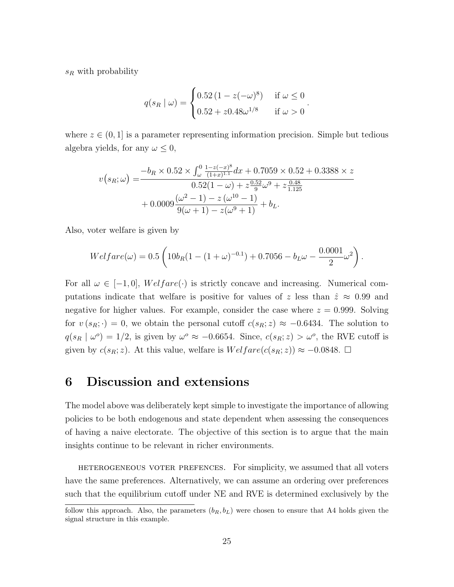$s_R$  with probability

$$
q(s_R | \omega) = \begin{cases} 0.52 (1 - z(-\omega)^8) & \text{if } \omega \le 0 \\ 0.52 + z0.48\omega^{1/8} & \text{if } \omega > 0 \end{cases}.
$$

where  $z \in (0, 1]$  is a parameter representing information precision. Simple but tedious algebra yields, for any  $\omega \leq 0$ ,

$$
v(s_R; \omega) = \frac{-b_R \times 0.52 \times \int_{\omega}^0 \frac{1 - z(-x)^8}{(1 + x)^{1.1}} dx + 0.7059 \times 0.52 + 0.3388 \times z}{0.52(1 - \omega) + z \frac{0.52}{9} \omega^9 + z \frac{0.48}{1.125}} + 0.0009 \frac{(\omega^2 - 1) - z(\omega^{10} - 1)}{9(\omega + 1) - z(\omega^9 + 1)} + b_L.
$$

Also, voter welfare is given by

$$
Welfare(\omega) = 0.5 \left( 10b_R(1 - (1 + \omega)^{-0.1}) + 0.7056 - b_L \omega - \frac{0.0001}{2} \omega^2 \right).
$$

For all  $\omega \in [-1,0], \text{Welfare}(\cdot)$  is strictly concave and increasing. Numerical computations indicate that welfare is positive for values of z less than  $\hat{z} \approx 0.99$  and negative for higher values. For example, consider the case where  $z = 0.999$ . Solving for  $v(s_R; \cdot) = 0$ , we obtain the personal cutoff  $c(s_R; z) \approx -0.6434$ . The solution to  $q(s_R | \omega^o) = 1/2$ , is given by  $\omega^o \approx -0.6654$ . Since,  $c(s_R; z) > \omega^o$ , the RVE cutoff is given by  $c(s_R; z)$ . At this value, welfare is  $Welfare(c(s_R; z)) \approx -0.0848$ .  $\Box$ 

### 6 Discussion and extensions

The model above was deliberately kept simple to investigate the importance of allowing policies to be both endogenous and state dependent when assessing the consequences of having a naive electorate. The objective of this section is to argue that the main insights continue to be relevant in richer environments.

heterogeneous voter prefences. For simplicity, we assumed that all voters have the same preferences. Alternatively, we can assume an ordering over preferences such that the equilibrium cutoff under NE and RVE is determined exclusively by the

follow this approach. Also, the parameters  $(b_R, b_L)$  were chosen to ensure that A4 holds given the signal structure in this example.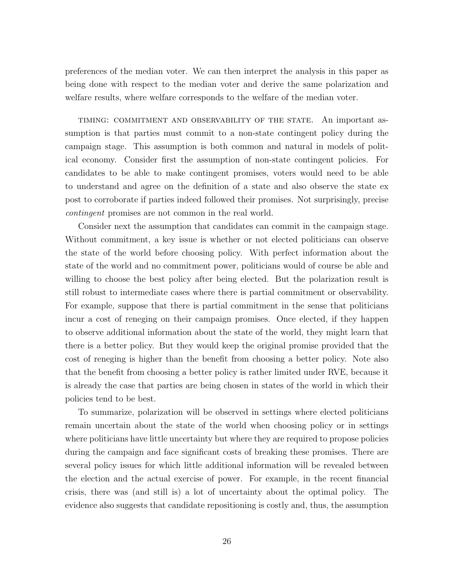preferences of the median voter. We can then interpret the analysis in this paper as being done with respect to the median voter and derive the same polarization and welfare results, where welfare corresponds to the welfare of the median voter.

timing: commitment and observability of the state. An important assumption is that parties must commit to a non-state contingent policy during the campaign stage. This assumption is both common and natural in models of political economy. Consider first the assumption of non-state contingent policies. For candidates to be able to make contingent promises, voters would need to be able to understand and agree on the definition of a state and also observe the state ex post to corroborate if parties indeed followed their promises. Not surprisingly, precise contingent promises are not common in the real world.

Consider next the assumption that candidates can commit in the campaign stage. Without commitment, a key issue is whether or not elected politicians can observe the state of the world before choosing policy. With perfect information about the state of the world and no commitment power, politicians would of course be able and willing to choose the best policy after being elected. But the polarization result is still robust to intermediate cases where there is partial commitment or observability. For example, suppose that there is partial commitment in the sense that politicians incur a cost of reneging on their campaign promises. Once elected, if they happen to observe additional information about the state of the world, they might learn that there is a better policy. But they would keep the original promise provided that the cost of reneging is higher than the benefit from choosing a better policy. Note also that the benefit from choosing a better policy is rather limited under RVE, because it is already the case that parties are being chosen in states of the world in which their policies tend to be best.

To summarize, polarization will be observed in settings where elected politicians remain uncertain about the state of the world when choosing policy or in settings where politicians have little uncertainty but where they are required to propose policies during the campaign and face significant costs of breaking these promises. There are several policy issues for which little additional information will be revealed between the election and the actual exercise of power. For example, in the recent financial crisis, there was (and still is) a lot of uncertainty about the optimal policy. The evidence also suggests that candidate repositioning is costly and, thus, the assumption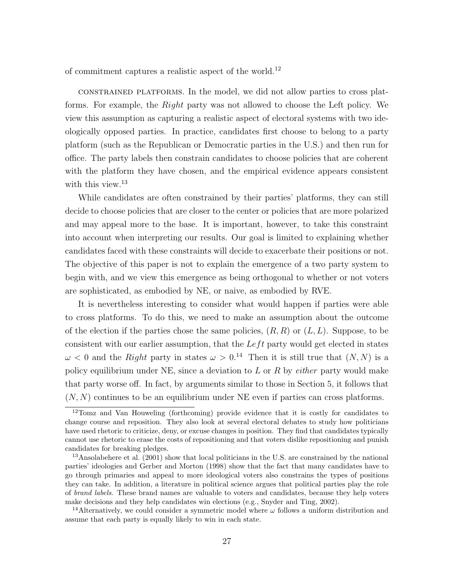of commitment captures a realistic aspect of the world.<sup>12</sup>

constrained platforms. In the model, we did not allow parties to cross platforms. For example, the Right party was not allowed to choose the Left policy. We view this assumption as capturing a realistic aspect of electoral systems with two ideologically opposed parties. In practice, candidates first choose to belong to a party platform (such as the Republican or Democratic parties in the U.S.) and then run for office. The party labels then constrain candidates to choose policies that are coherent with the platform they have chosen, and the empirical evidence appears consistent with this view.<sup>13</sup>

While candidates are often constrained by their parties' platforms, they can still decide to choose policies that are closer to the center or policies that are more polarized and may appeal more to the base. It is important, however, to take this constraint into account when interpreting our results. Our goal is limited to explaining whether candidates faced with these constraints will decide to exacerbate their positions or not. The objective of this paper is not to explain the emergence of a two party system to begin with, and we view this emergence as being orthogonal to whether or not voters are sophisticated, as embodied by NE, or naive, as embodied by RVE.

It is nevertheless interesting to consider what would happen if parties were able to cross platforms. To do this, we need to make an assumption about the outcome of the election if the parties chose the same policies,  $(R, R)$  or  $(L, L)$ . Suppose, to be consistent with our earlier assumption, that the  $Left$  party would get elected in states  $\omega$  < 0 and the Right party in states  $\omega > 0$ .<sup>14</sup> Then it is still true that  $(N, N)$  is a policy equilibrium under NE, since a deviation to  $L$  or  $R$  by *either* party would make that party worse off. In fact, by arguments similar to those in Section 5, it follows that  $(N, N)$  continues to be an equilibrium under NE even if parties can cross platforms.

<sup>12</sup>Tomz and Van Houweling (forthcoming) provide evidence that it is costly for candidates to change course and reposition. They also look at several electoral debates to study how politicians have used rhetoric to criticize, deny, or excuse changes in position. They find that candidates typically cannot use rhetoric to erase the costs of repositioning and that voters dislike repositioning and punish candidates for breaking pledges.

<sup>&</sup>lt;sup>13</sup>Ansolabehere et al.  $(2001)$  show that local politicians in the U.S. are constrained by the national parties' ideologies and Gerber and Morton (1998) show that the fact that many candidates have to go through primaries and appeal to more ideological voters also constrains the types of positions they can take. In addition, a literature in political science argues that political parties play the role of brand labels. These brand names are valuable to voters and candidates, because they help voters make decisions and they help candidates win elections (e.g., Snyder and Ting, 2002).

<sup>&</sup>lt;sup>14</sup>Alternatively, we could consider a symmetric model where  $\omega$  follows a uniform distribution and assume that each party is equally likely to win in each state.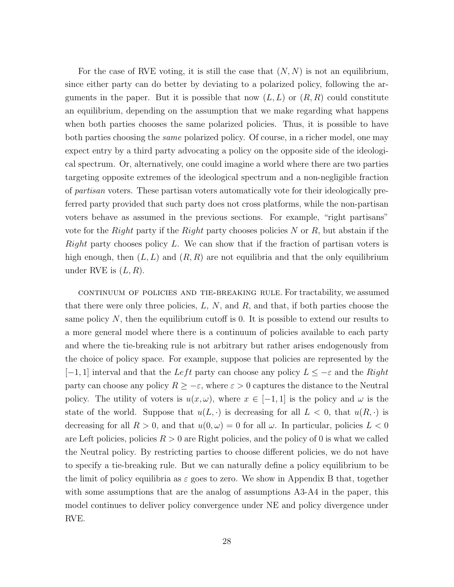For the case of RVE voting, it is still the case that  $(N, N)$  is not an equilibrium, since either party can do better by deviating to a polarized policy, following the arguments in the paper. But it is possible that now  $(L, L)$  or  $(R, R)$  could constitute an equilibrium, depending on the assumption that we make regarding what happens when both parties chooses the same polarized policies. Thus, it is possible to have both parties choosing the same polarized policy. Of course, in a richer model, one may expect entry by a third party advocating a policy on the opposite side of the ideological spectrum. Or, alternatively, one could imagine a world where there are two parties targeting opposite extremes of the ideological spectrum and a non-negligible fraction of partisan voters. These partisan voters automatically vote for their ideologically preferred party provided that such party does not cross platforms, while the non-partisan voters behave as assumed in the previous sections. For example, "right partisans" vote for the Right party if the Right party chooses policies N or R, but abstain if the Right party chooses policy  $L$ . We can show that if the fraction of partisan voters is high enough, then  $(L, L)$  and  $(R, R)$  are not equilibria and that the only equilibrium under RVE is  $(L, R)$ .

continuum of policies and tie-breaking rule. For tractability, we assumed that there were only three policies,  $L, N$ , and  $R$ , and that, if both parties choose the same policy  $N$ , then the equilibrium cutoff is 0. It is possible to extend our results to a more general model where there is a continuum of policies available to each party and where the tie-breaking rule is not arbitrary but rather arises endogenously from the choice of policy space. For example, suppose that policies are represented by the  $[-1, 1]$  interval and that the Left party can choose any policy  $L \leq -\varepsilon$  and the Right party can choose any policy  $R \geq -\varepsilon$ , where  $\varepsilon > 0$  captures the distance to the Neutral policy. The utility of voters is  $u(x, \omega)$ , where  $x \in [-1, 1]$  is the policy and  $\omega$  is the state of the world. Suppose that  $u(L, \cdot)$  is decreasing for all  $L < 0$ , that  $u(R, \cdot)$  is decreasing for all  $R > 0$ , and that  $u(0, \omega) = 0$  for all  $\omega$ . In particular, policies  $L < 0$ are Left policies, policies  $R > 0$  are Right policies, and the policy of 0 is what we called the Neutral policy. By restricting parties to choose different policies, we do not have to specify a tie-breaking rule. But we can naturally define a policy equilibrium to be the limit of policy equilibria as  $\varepsilon$  goes to zero. We show in Appendix B that, together with some assumptions that are the analog of assumptions A3-A4 in the paper, this model continues to deliver policy convergence under NE and policy divergence under RVE.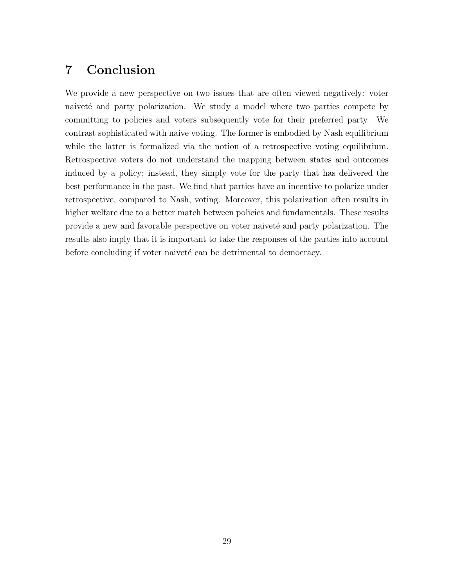# 7 Conclusion

We provide a new perspective on two issues that are often viewed negatively: voter naiveté and party polarization. We study a model where two parties compete by committing to policies and voters subsequently vote for their preferred party. We contrast sophisticated with naive voting. The former is embodied by Nash equilibrium while the latter is formalized via the notion of a retrospective voting equilibrium. Retrospective voters do not understand the mapping between states and outcomes induced by a policy; instead, they simply vote for the party that has delivered the best performance in the past. We find that parties have an incentive to polarize under retrospective, compared to Nash, voting. Moreover, this polarization often results in higher welfare due to a better match between policies and fundamentals. These results provide a new and favorable perspective on voter naiveté and party polarization. The results also imply that it is important to take the responses of the parties into account before concluding if voter naiveté can be detrimental to democracy.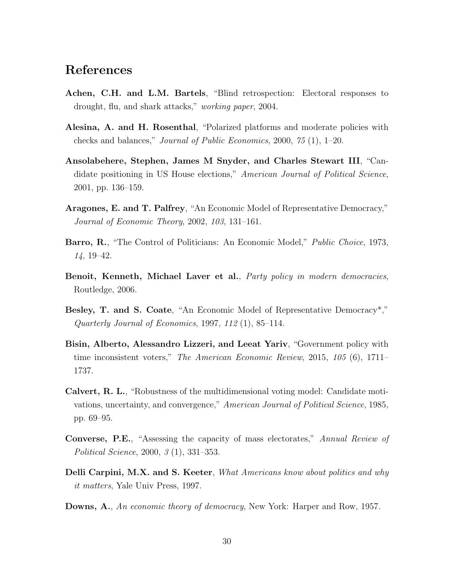# References

- Achen, C.H. and L.M. Bartels, "Blind retrospection: Electoral responses to drought, flu, and shark attacks," working paper, 2004.
- Alesina, A. and H. Rosenthal, "Polarized platforms and moderate policies with checks and balances," Journal of Public Economics, 2000, 75 (1), 1–20.
- Ansolabehere, Stephen, James M Snyder, and Charles Stewart III, "Candidate positioning in US House elections," American Journal of Political Science, 2001, pp. 136–159.
- Aragones, E. and T. Palfrey, "An Economic Model of Representative Democracy," Journal of Economic Theory, 2002, 103, 131–161.
- Barro, R., "The Control of Politicians: An Economic Model," *Public Choice*, 1973, 14, 19–42.
- Benoit, Kenneth, Michael Laver et al., Party policy in modern democracies, Routledge, 2006.
- Besley, T. and S. Coate, "An Economic Model of Representative Democracy<sup>\*</sup>," Quarterly Journal of Economics, 1997, 112 $(1)$ , 85-114.
- Bisin, Alberto, Alessandro Lizzeri, and Leeat Yariv, "Government policy with time inconsistent voters," The American Economic Review, 2015, 105 (6), 1711– 1737.
- Calvert, R. L., "Robustness of the multidimensional voting model: Candidate motivations, uncertainty, and convergence," American Journal of Political Science, 1985, pp. 69–95.
- Converse, P.E., "Assessing the capacity of mass electorates," Annual Review of Political Science, 2000, 3 (1), 331–353.
- Delli Carpini, M.X. and S. Keeter, What Americans know about politics and why it matters, Yale Univ Press, 1997.
- Downs, A., An economic theory of democracy, New York: Harper and Row, 1957.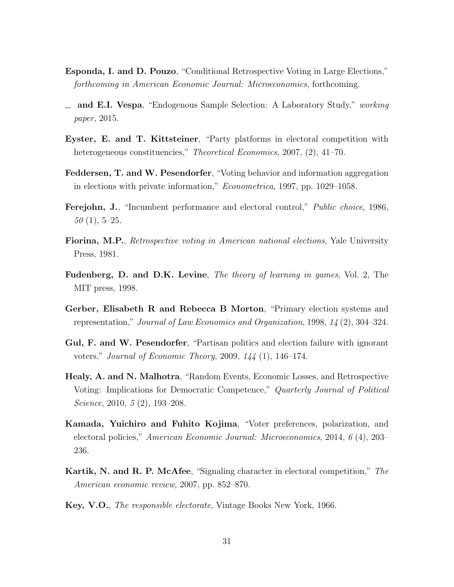- Esponda, I. and D. Pouzo, "Conditional Retrospective Voting in Large Elections," forthcoming in American Economic Journal: Microeconomics, forthcoming.
- $\equiv$  and E.I. Vespa, "Endogenous Sample Selection: A Laboratory Study," working paper, 2015.
- Eyster, E. and T. Kittsteiner, "Party platforms in electoral competition with heterogeneous constituencies," *Theoretical Economics*, 2007, (2), 41–70.
- Feddersen, T. and W. Pesendorfer, "Voting behavior and information aggregation in elections with private information," Econometrica, 1997, pp. 1029–1058.
- Ferejohn, J., "Incumbent performance and electoral control," Public choice, 1986,  $50(1), 5-25.$
- Fiorina, M.P., Retrospective voting in American national elections, Yale University Press, 1981.
- Fudenberg, D. and D.K. Levine, The theory of learning in games, Vol. 2, The MIT press, 1998.
- Gerber, Elisabeth R and Rebecca B Morton, "Primary election systems and representation," Journal of Law Economics and Organization, 1998, 14 (2), 304–324.
- Gul, F. and W. Pesendorfer, "Partisan politics and election failure with ignorant voters," Journal of Economic Theory, 2009, 144 (1), 146–174.
- Healy, A. and N. Malhotra, "Random Events, Economic Losses, and Retrospective Voting: Implications for Democratic Competence," Quarterly Journal of Political Science, 2010, 5 (2), 193–208.
- Kamada, Yuichiro and Fuhito Kojima, "Voter preferences, polarization, and electoral policies," American Economic Journal: Microeconomics, 2014, 6 (4), 203– 236.
- Kartik, N. and R. P. McAfee, "Signaling character in electoral competition," The American economic review, 2007, pp. 852–870.
- Key, V.O., The responsible electorate, Vintage Books New York, 1966.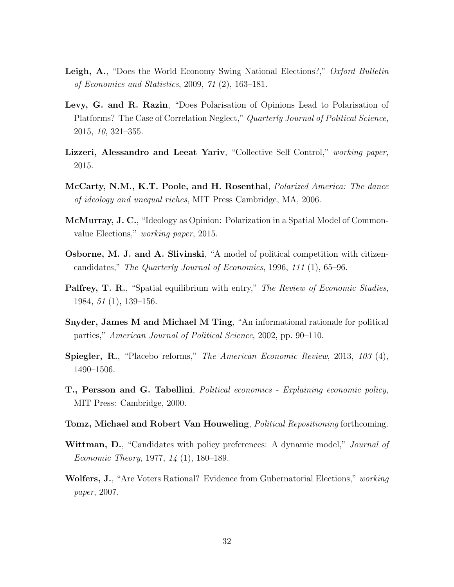- Leigh, A., "Does the World Economy Swing National Elections?," Oxford Bulletin of Economics and Statistics, 2009, 71 (2), 163–181.
- Levy, G. and R. Razin, "Does Polarisation of Opinions Lead to Polarisation of Platforms? The Case of Correlation Neglect," Quarterly Journal of Political Science, 2015, 10, 321–355.
- Lizzeri, Alessandro and Leeat Yariv, "Collective Self Control," working paper, 2015.
- McCarty, N.M., K.T. Poole, and H. Rosenthal, *Polarized America: The dance* of ideology and unequal riches, MIT Press Cambridge, MA, 2006.
- McMurray, J. C., "Ideology as Opinion: Polarization in a Spatial Model of Commonvalue Elections," working paper, 2015.
- Osborne, M. J. and A. Slivinski, "A model of political competition with citizencandidates," The Quarterly Journal of Economics, 1996, 111 (1), 65–96.
- **Palfrey, T. R.**, "Spatial equilibrium with entry," The Review of Economic Studies, 1984, 51 (1), 139–156.
- Snyder, James M and Michael M Ting, "An informational rationale for political parties," American Journal of Political Science, 2002, pp. 90–110.
- Spiegler, R., "Placebo reforms," The American Economic Review, 2013, 103 (4), 1490–1506.
- T., Persson and G. Tabellini, Political economics Explaining economic policy, MIT Press: Cambridge, 2000.
- Tomz, Michael and Robert Van Houweling, *Political Repositioning* forthcoming.
- Wittman, D., "Candidates with policy preferences: A dynamic model," Journal of Economic Theory, 1977, 14 (1), 180–189.
- Wolfers, J., "Are Voters Rational? Evidence from Gubernatorial Elections," working paper, 2007.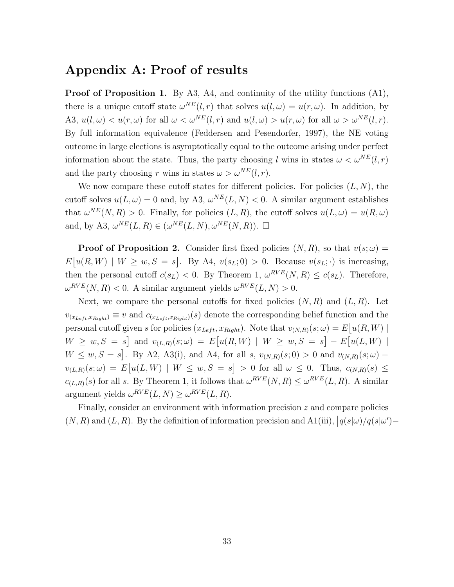# Appendix A: Proof of results

Proof of Proposition 1. By A3, A4, and continuity of the utility functions (A1), there is a unique cutoff state  $\omega^{NE}(l,r)$  that solves  $u(l,\omega) = u(r,\omega)$ . In addition, by A3,  $u(l, \omega) < u(r, \omega)$  for all  $\omega < \omega^{NE}(l, r)$  and  $u(l, \omega) > u(r, \omega)$  for all  $\omega > \omega^{NE}(l, r)$ . By full information equivalence (Feddersen and Pesendorfer, 1997), the NE voting outcome in large elections is asymptotically equal to the outcome arising under perfect information about the state. Thus, the party choosing l wins in states  $\omega < \omega^{NE}(l,r)$ and the party choosing r wins in states  $\omega > \omega^{NE}(l, r)$ .

We now compare these cutoff states for different policies. For policies  $(L, N)$ , the cutoff solves  $u(L, \omega) = 0$  and, by A3,  $\omega^{NE}(L, N) < 0$ . A similar argument establishes that  $\omega^{NE}(N, R) > 0$ . Finally, for policies  $(L, R)$ , the cutoff solves  $u(L, \omega) = u(R, \omega)$ and, by A3,  $\omega^{NE}(L, R) \in (\omega^{NE}(L, N), \omega^{NE}(N, R))$ .  $\Box$ 

**Proof of Proposition 2.** Consider first fixed policies  $(N, R)$ , so that  $v(s; \omega)$  =  $E[u(R, W) \mid W \geq w, S = s]$ . By A4,  $v(s_L; 0) > 0$ . Because  $v(s_L; \cdot)$  is increasing, then the personal cutoff  $c(s_L) < 0$ . By Theorem 1,  $\omega^{RVE}(N,R) \leq c(s_L)$ . Therefore,  $\omega^{RVE}(N,R) < 0$ . A similar argument yields  $\omega^{RVE}(L,N) > 0$ .

Next, we compare the personal cutoffs for fixed policies  $(N, R)$  and  $(L, R)$ . Let  $v_{(x_{Left},x_{Right})} \equiv v$  and  $c_{(x_{Left},x_{Right})}(s)$  denote the corresponding belief function and the personal cutoff given s for policies  $(x_{Left}, x_{Right})$ . Note that  $v_{(N,R)}(s; \omega) = E[u(R, W)]$  $W \geq w, S = s$  and  $v_{(L,R)}(s; \omega) = E[u(R, W) | W \geq w, S = s] - E[u(L, W) |$  $W \leq w, S = s$ . By A2, A3(i), and A4, for all s,  $v_{(N,R)}(s; 0) > 0$  and  $v_{(N,R)}(s; \omega)$  –  $v_{(L,R)}(s;\omega) = E[u(L,W) \mid W \leq w, S = s] > 0$  for all  $\omega \leq 0$ . Thus,  $c_{(N,R)}(s) \leq$  $c_{(L,R)}(s)$  for all s. By Theorem 1, it follows that  $\omega^{RVE}(N,R) \leq \omega^{RVE}(L,R)$ . A similar argument yields  $\omega^{RVE}(L, N) \geq \omega^{RVE}(L, R)$ .

Finally, consider an environment with information precision  $z$  and compare policies  $(N, R)$  and  $(L, R)$ . By the definition of information precision and A1(iii),  $|q(s|\omega)/q(s|\omega')-$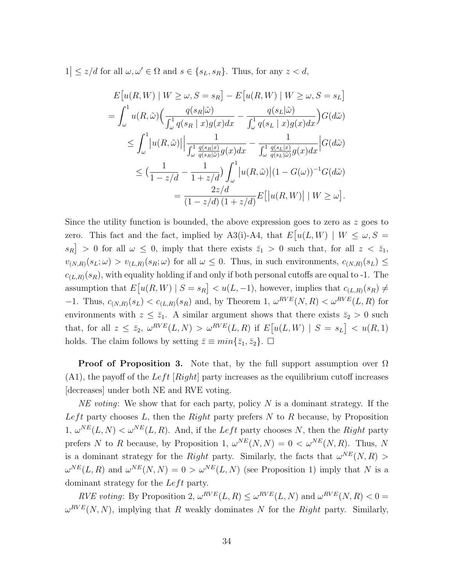$1 \le z/d$  for all  $\omega, \omega' \in \Omega$  and  $s \in \{s_L, s_R\}$ . Thus, for any  $z < d$ ,

$$
E[u(R,W) | W \ge \omega, S = s_R] - E[u(R,W) | W \ge \omega, S = s_L]
$$
  
= 
$$
\int_{\omega}^{1} u(R, \tilde{\omega}) \Big( \frac{q(s_R|\tilde{\omega})}{\int_{\omega}^{1} q(s_R | x)g(x)dx} - \frac{q(s_L|\tilde{\omega})}{\int_{\omega}^{1} q(s_L | x)g(x)dx} \Big) G(d\tilde{\omega})
$$
  

$$
\le \int_{\omega}^{1} |u(R, \tilde{\omega})| \Big| \frac{1}{\int_{\omega}^{1} \frac{q(s_R|x)}{q(s_R|\tilde{\omega})}g(x)dx} - \frac{1}{\int_{\omega}^{1} \frac{q(s_L|x)}{q(s_L|\tilde{\omega})}g(x)dx} \Big| G(d\tilde{\omega})
$$
  

$$
\le \Big( \frac{1}{1 - z/d} - \frac{1}{1 + z/d} \Big) \int_{\omega}^{1} |u(R, \tilde{\omega})| (1 - G(\omega))^{-1} G(d\tilde{\omega})
$$
  

$$
= \frac{2z/d}{(1 - z/d)(1 + z/d)} E[|u(R, W)| | W \ge \omega].
$$

Since the utility function is bounded, the above expression goes to zero as  $z$  goes to zero. This fact and the fact, implied by A3(i)-A4, that  $E[u(L, W) | W \leq \omega, S =$  $|s_R| > 0$  for all  $\omega \leq 0$ , imply that there exists  $\bar{z}_1 > 0$  such that, for all  $z < \bar{z}_1$ ,  $v_{(N,R)}(s_L;\omega) > v_{(L,R)}(s_R;\omega)$  for all  $\omega \leq 0$ . Thus, in such environments,  $c_{(N,R)}(s_L) \leq$  $c_{(L,R)}(s_R)$ , with equality holding if and only if both personal cutoffs are equal to -1. The assumption that  $E[u(R,W) | S = s_R] < u(L,-1)$ , however, implies that  $c_{(L,R)}(s_R) \neq$  $-1$ . Thus,  $c_{(N,R)}(s_L) < c_{(L,R)}(s_R)$  and, by Theorem 1,  $\omega^{RVE}(N,R) < \omega^{RVE}(L,R)$  for environments with  $z \le \bar{z}_1$ . A similar argument shows that there exists  $\bar{z}_2 > 0$  such that, for all  $z \le \bar{z}_2$ ,  $\omega^{RVE}(L, N) > \omega^{RVE}(L, R)$  if  $E[u(L, W) | S = s_L] < u(R, 1)$ holds. The claim follows by setting  $\bar{z} \equiv min\{\bar{z}_1, \bar{z}_2\}$ .  $\Box$ 

**Proof of Proposition 3.** Note that, by the full support assumption over  $\Omega$  $(A1)$ , the payoff of the Left  $[Right]$  party increases as the equilibrium cutoff increases [decreases] under both NE and RVE voting.

NE voting: We show that for each party, policy  $N$  is a dominant strategy. If the Left party chooses L, then the Right party prefers  $N$  to  $R$  because, by Proposition  $1, \omega^{NE}(L, N) < \omega^{NE}(L, R)$ . And, if the Left party chooses N, then the Right party prefers N to R because, by Proposition 1,  $\omega^{NE}(N, N) = 0 < \omega^{NE}(N, R)$ . Thus, N is a dominant strategy for the Right party. Similarly, the facts that  $\omega^{NE}(N, R)$  $\omega^{NE}(L, R)$  and  $\omega^{NE}(N, N) = 0 > \omega^{NE}(L, N)$  (see Proposition 1) imply that N is a dominant strategy for the  $Left$  party.

RVE voting: By Proposition 2,  $\omega^{RVE}(L, R) \leq \omega^{RVE}(L, N)$  and  $\omega^{RVE}(N, R) < 0$  $\omega^{RVE}(N, N)$ , implying that R weakly dominates N for the Right party. Similarly,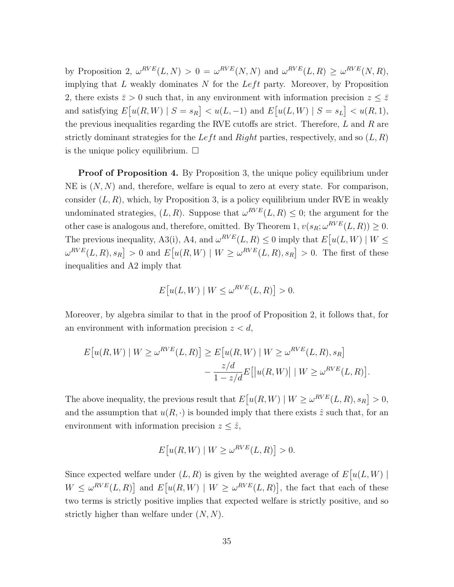by Proposition 2,  $\omega^{RVE}(L, N) > 0 = \omega^{RVE}(N, N)$  and  $\omega^{RVE}(L, R) \geq \omega^{RVE}(N, R)$ , implying that  $L$  weakly dominates  $N$  for the  $Left$  party. Moreover, by Proposition 2, there exists  $\bar{z} > 0$  such that, in any environment with information precision  $z \leq \bar{z}$ and satisfying  $E[u(R, W) | S = s_R] < u(L, -1)$  and  $E[u(L, W) | S = s_L] < u(R, 1)$ , the previous inequalities regarding the RVE cutoffs are strict. Therefore,  $L$  and  $R$  are strictly dominant strategies for the Left and Right parties, respectively, and so  $(L, R)$ is the unique policy equilibrium.  $\square$ 

Proof of Proposition 4. By Proposition 3, the unique policy equilibrium under NE is  $(N, N)$  and, therefore, welfare is equal to zero at every state. For comparison, consider  $(L, R)$ , which, by Proposition 3, is a policy equilibrium under RVE in weakly undominated strategies,  $(L, R)$ . Suppose that  $\omega^{RVE}(L, R) \leq 0$ ; the argument for the other case is analogous and, therefore, omitted. By Theorem 1,  $v(s_R; \omega^{RVE}(L, R)) \geq 0$ . The previous inequality, A3(i), A4, and  $\omega^{RVE}(L, R) \leq 0$  imply that  $E[u(L, W) | W \leq$  $\omega^{RVE}(L, R), s_R$  > 0 and  $E[u(R, W) | W \ge \omega^{RVE}(L, R), s_R] > 0$ . The first of these inequalities and A2 imply that

$$
E[u(L, W) | W \le \omega^{RVE}(L, R)] > 0.
$$

Moreover, by algebra similar to that in the proof of Proposition 2, it follows that, for an environment with information precision  $z < d$ ,

$$
E[u(R,W) \mid W \ge \omega^{RVE}(L,R)] \ge E[u(R,W) \mid W \ge \omega^{RVE}(L,R), s_R]
$$

$$
-\frac{z/d}{1-z/d}E[|u(R,W)| \mid W \ge \omega^{RVE}(L,R)].
$$

The above inequality, the previous result that  $E[u(R, W) | W \ge \omega^{RVE}(L, R), s_R] > 0$ , and the assumption that  $u(R, \cdot)$  is bounded imply that there exists  $\hat{z}$  such that, for an environment with information precision  $z \leq \hat{z}$ ,

$$
E[u(R,W) \mid W \ge \omega^{RVE}(L,R)] > 0.
$$

Since expected welfare under  $(L, R)$  is given by the weighted average of  $E[u(L, W)]$  $W \leq \omega^{RVE}(L, R)$  and  $E[u(R, W) | W \geq \omega^{RVE}(L, R)]$ , the fact that each of these two terms is strictly positive implies that expected welfare is strictly positive, and so strictly higher than welfare under  $(N, N)$ .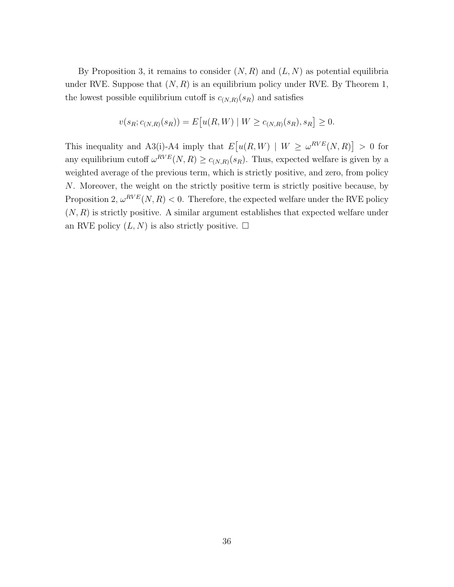By Proposition 3, it remains to consider  $(N, R)$  and  $(L, N)$  as potential equilibria under RVE. Suppose that  $(N, R)$  is an equilibrium policy under RVE. By Theorem 1, the lowest possible equilibrium cutoff is  $c_{(N,R)}(s_R)$  and satisfies

$$
v(s_R; c_{(N,R)}(s_R)) = E[u(R,W) | W \ge c_{(N,R)}(s_R), s_R] \ge 0.
$$

This inequality and A3(i)-A4 imply that  $E[u(R, W) | W \geq \omega^{RVE}(N, R)] > 0$  for any equilibrium cutoff  $\omega^{RVE}(N,R) \geq c_{(N,R)}(s_R)$ . Thus, expected welfare is given by a weighted average of the previous term, which is strictly positive, and zero, from policy N. Moreover, the weight on the strictly positive term is strictly positive because, by Proposition 2,  $\omega^{RVE}(N,R)$  < 0. Therefore, the expected welfare under the RVE policy  $(N, R)$  is strictly positive. A similar argument establishes that expected welfare under an RVE policy  $(L, N)$  is also strictly positive.  $\square$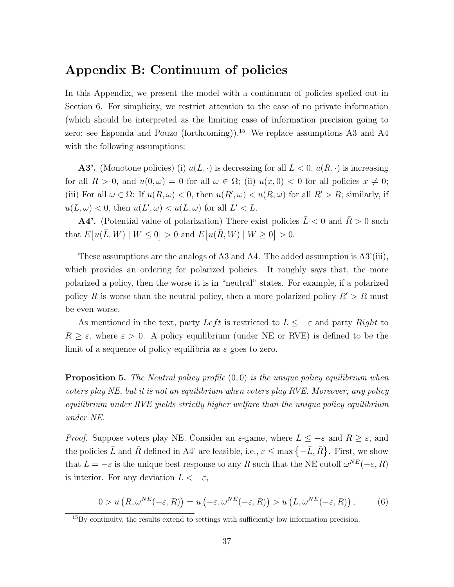# Appendix B: Continuum of policies

In this Appendix, we present the model with a continuum of policies spelled out in Section 6. For simplicity, we restrict attention to the case of no private information (which should be interpreted as the limiting case of information precision going to zero; see Esponda and Pouzo (forthcoming)).<sup>15</sup> We replace assumptions A3 and A4 with the following assumptions:

**A3'.** (Monotone policies) (i)  $u(L, \cdot)$  is decreasing for all  $L < 0$ ,  $u(R, \cdot)$  is increasing for all  $R > 0$ , and  $u(0, \omega) = 0$  for all  $\omega \in \Omega$ ; (ii)  $u(x, 0) < 0$  for all policies  $x \neq 0$ ; (iii) For all  $\omega \in \Omega$ : If  $u(R, \omega) < 0$ , then  $u(R', \omega) < u(R, \omega)$  for all  $R' > R$ ; similarly, if  $u(L, \omega) < 0$ , then  $u(L', \omega) < u(L, \omega)$  for all  $L' < L$ .

**A4'.** (Potential value of polarization) There exist policies  $\bar{L} < 0$  and  $\bar{R} > 0$  such that  $E[u(\bar{L}, W) | W \le 0] > 0$  and  $E[u(\bar{R}, W) | W \ge 0] > 0$ .

These assumptions are the analogs of A3 and A4. The added assumption is A3'(iii), which provides an ordering for polarized policies. It roughly says that, the more polarized a policy, then the worse it is in "neutral" states. For example, if a polarized policy R is worse than the neutral policy, then a more polarized policy  $R' > R$  must be even worse.

As mentioned in the text, party Left is restricted to  $L \leq -\varepsilon$  and party Right to  $R \geq \varepsilon$ , where  $\varepsilon > 0$ . A policy equilibrium (under NE or RVE) is defined to be the limit of a sequence of policy equilibria as  $\varepsilon$  goes to zero.

**Proposition 5.** The Neutral policy profile  $(0,0)$  is the unique policy equilibrium when voters play NE, but it is not an equilibrium when voters play RVE. Moreover, any policy equilibrium under RVE yields strictly higher welfare than the unique policy equilibrium under NE.

*Proof.* Suppose voters play NE. Consider an  $\varepsilon$ -game, where  $L \le -\varepsilon$  and  $R \ge \varepsilon$ , and the policies  $\bar{L}$  and  $\bar{R}$  defined in A4' are feasible, i.e.,  $\varepsilon \leq \max\left\{-\bar{L}, \bar{R}\right\}$ . First, we show that  $L = -\varepsilon$  is the unique best response to any R such that the NE cutoff  $\omega^{NE}(-\varepsilon, R)$ is interior. For any deviation  $L < -\varepsilon$ ,

$$
0 > u\left(R, \omega^{NE}(-\varepsilon, R)\right) = u\left(-\varepsilon, \omega^{NE}(-\varepsilon, R)\right) > u\left(L, \omega^{NE}(-\varepsilon, R)\right),\tag{6}
$$

<sup>15</sup>By continuity, the results extend to settings with sufficiently low information precision.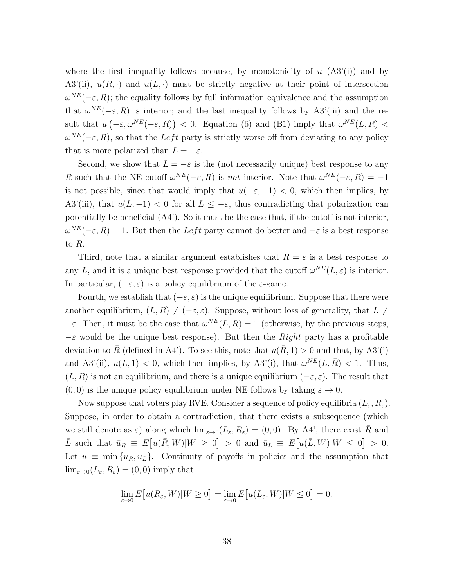where the first inequality follows because, by monotonicity of  $u$  (A3'(i)) and by A3'(ii),  $u(R, \cdot)$  and  $u(L, \cdot)$  must be strictly negative at their point of intersection  $\omega^{NE}(-\varepsilon, R)$ ; the equality follows by full information equivalence and the assumption that  $\omega^{NE}(-\varepsilon, R)$  is interior; and the last inequality follows by A3'(iii) and the result that  $u(-\varepsilon,\omega^{NE}(-\varepsilon,R))$  < 0. Equation (6) and (B1) imply that  $\omega^{NE}(L,R)$  <  $\omega^{NE}(-\varepsilon, R)$ , so that the Left party is strictly worse off from deviating to any policy that is more polarized than  $L = -\varepsilon$ .

Second, we show that  $L = -\varepsilon$  is the (not necessarily unique) best response to any R such that the NE cutoff  $\omega^{NE}(-\varepsilon, R)$  is not interior. Note that  $\omega^{NE}(-\varepsilon, R) = -1$ is not possible, since that would imply that  $u(-\varepsilon, -1) < 0$ , which then implies, by A3'(iii), that  $u(L, -1) < 0$  for all  $L \leq -\varepsilon$ , thus contradicting that polarization can potentially be beneficial (A4'). So it must be the case that, if the cutoff is not interior,  $\omega^{NE}(-\varepsilon, R) = 1$ . But then the Left party cannot do better and  $-\varepsilon$  is a best response to R.

Third, note that a similar argument establishes that  $R = \varepsilon$  is a best response to any L, and it is a unique best response provided that the cutoff  $\omega^{NE}(L,\varepsilon)$  is interior. In particular,  $(-\varepsilon, \varepsilon)$  is a policy equilibrium of the  $\varepsilon$ -game.

Fourth, we establish that  $(-\varepsilon, \varepsilon)$  is the unique equilibrium. Suppose that there were another equilibrium,  $(L, R) \neq (-\varepsilon, \varepsilon)$ . Suppose, without loss of generality, that  $L \neq$  $-\varepsilon$ . Then, it must be the case that  $\omega^{NE}(L, R) = 1$  (otherwise, by the previous steps,  $-\varepsilon$  would be the unique best response). But then the *Right* party has a profitable deviation to  $\bar{R}$  (defined in A4'). To see this, note that  $u(\bar{R}, 1) > 0$  and that, by A3'(i) and A3'(ii),  $u(L, 1) < 0$ , which then implies, by A3'(i), that  $\omega^{NE}(L, \overline{R}) < 1$ . Thus,  $(L, R)$  is not an equilibrium, and there is a unique equilibrium  $(-\varepsilon, \varepsilon)$ . The result that  $(0, 0)$  is the unique policy equilibrium under NE follows by taking  $\varepsilon \to 0$ .

Now suppose that voters play RVE. Consider a sequence of policy equilibria  $(L_{\varepsilon}, R_{\varepsilon}).$ Suppose, in order to obtain a contradiction, that there exists a subsequence (which we still denote as  $\varepsilon$ ) along which  $\lim_{\varepsilon\to 0}(L_{\varepsilon}, R_{\varepsilon}) = (0,0)$ . By A4', there exist R and  $\overline{L}$  such that  $\overline{u}_R \equiv E[u(\overline{R}, W)|W \ge 0] > 0$  and  $\overline{u}_L \equiv E[u(\overline{L}, W)|W \le 0] > 0$ . Let  $\bar{u} \equiv \min{\{\bar{u}_R, \bar{u}_L\}}$ . Continuity of payoffs in policies and the assumption that  $\lim_{\varepsilon\to 0}(L_{\varepsilon}, R_{\varepsilon})=(0,0)$  imply that

$$
\lim_{\varepsilon \to 0} E[u(R_{\varepsilon}, W)|W \ge 0] = \lim_{\varepsilon \to 0} E[u(L_{\varepsilon}, W)|W \le 0] = 0.
$$